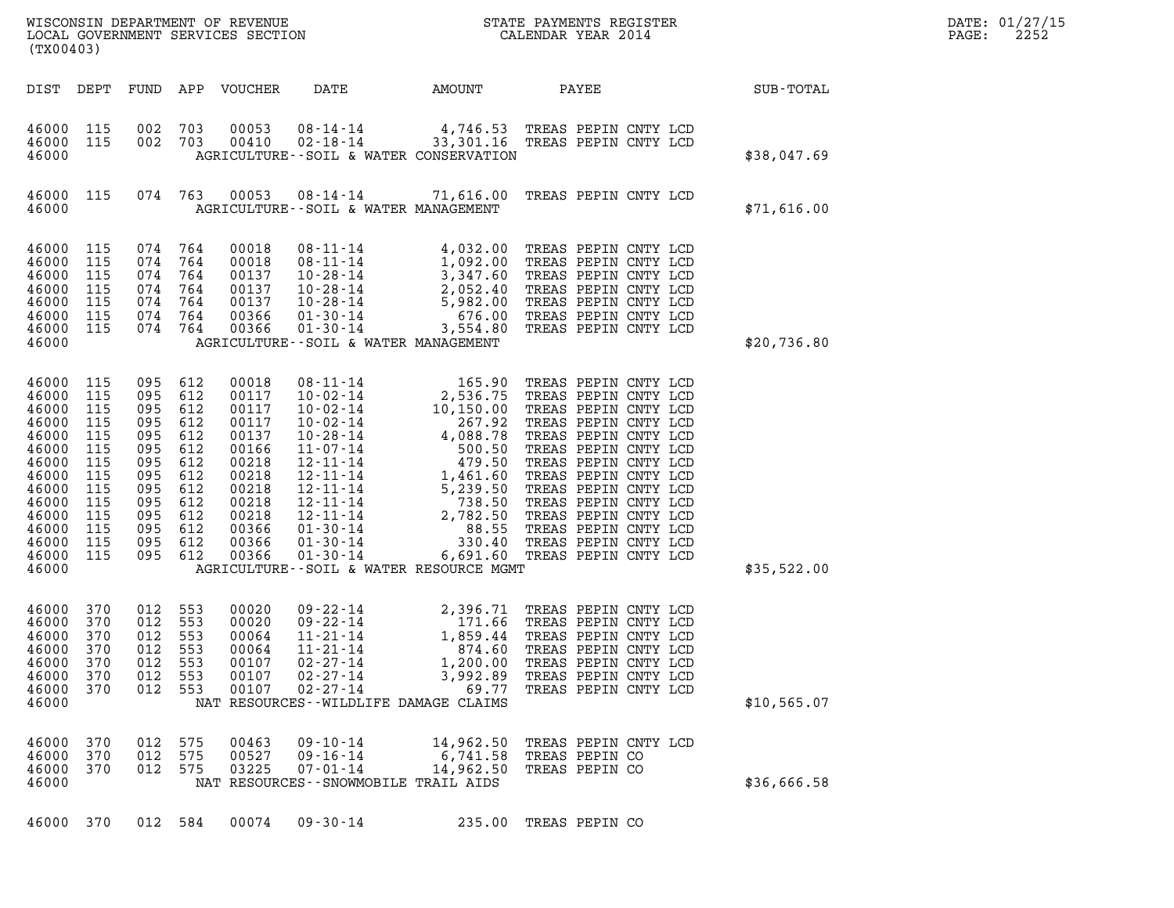| (TX00403)                                                                                                                               |                                                                                         |                                                                                                                                        |                          |                                                                                                                            |                                                                                                                                                                                                                                                                                                                                                                                                                          |                                         | ${\tt WISCOONSIM} \begin{tabular}{lcccc} \texttt{WE} & \texttt{R}} & \texttt{R} & \texttt{R} & \texttt{R} & \texttt{R} & \texttt{R} & \texttt{R} \\ \texttt{N} & \texttt{S} & \texttt{S} & \texttt{S} & \texttt{S} & \texttt{R} & \texttt{R} \\ \texttt{N} & \texttt{S} & \texttt{S} & \texttt{S} & \texttt{S} & \texttt{S} & \texttt{S} \\ \texttt{S} & \texttt{S} & \texttt{S} & \texttt{S} & \texttt{S} & \texttt{S} & \texttt{S} \\ \$ |             | DATE: 01/27/15<br>2252<br>PAGE: |
|-----------------------------------------------------------------------------------------------------------------------------------------|-----------------------------------------------------------------------------------------|----------------------------------------------------------------------------------------------------------------------------------------|--------------------------|----------------------------------------------------------------------------------------------------------------------------|--------------------------------------------------------------------------------------------------------------------------------------------------------------------------------------------------------------------------------------------------------------------------------------------------------------------------------------------------------------------------------------------------------------------------|-----------------------------------------|--------------------------------------------------------------------------------------------------------------------------------------------------------------------------------------------------------------------------------------------------------------------------------------------------------------------------------------------------------------------------------------------------------------------------------------------|-------------|---------------------------------|
|                                                                                                                                         |                                                                                         |                                                                                                                                        |                          | DIST DEPT FUND APP VOUCHER                                                                                                 | DATE                                                                                                                                                                                                                                                                                                                                                                                                                     | AMOUNT                                  | PAYEE                                                                                                                                                                                                                                                                                                                                                                                                                                      | SUB-TOTAL   |                                 |
| 46000 115<br>46000 115<br>46000                                                                                                         |                                                                                         | 002 703<br>002 703                                                                                                                     |                          | 00053<br>00410                                                                                                             | AGRICULTURE--SOIL & WATER CONSERVATION                                                                                                                                                                                                                                                                                                                                                                                   |                                         | 08-14-14 4,746.53 TREAS PEPIN CNTY LCD<br>02-18-14 33,301.16 TREAS PEPIN CNTY LCD                                                                                                                                                                                                                                                                                                                                                          | \$38,047.69 |                                 |
| 46000 115<br>46000                                                                                                                      |                                                                                         |                                                                                                                                        |                          |                                                                                                                            | AGRICULTURE--SOIL & WATER MANAGEMENT                                                                                                                                                                                                                                                                                                                                                                                     |                                         | 074 763 00053 08-14-14 71,616.00 TREAS PEPIN CNTY LCD                                                                                                                                                                                                                                                                                                                                                                                      | \$71,616.00 |                                 |
| 46000<br>46000<br>46000<br>46000<br>46000<br>46000<br>46000<br>46000                                                                    | 115<br>115<br>115<br>115<br>115<br>115<br>115                                           | 074<br>074 764<br>074 764<br>074 764<br>074 764<br>074 764<br>074 764                                                                  | 764                      | 00018<br>00018<br>00137<br>00137<br>00137<br>00366<br>00366                                                                | AGRICULTURE--SOIL & WATER MANAGEMENT                                                                                                                                                                                                                                                                                                                                                                                     |                                         | 08-11-14<br>08-11-14<br>1,092.00 TREAS PEPIN CNTY LCD<br>10-28-14<br>2,052.40 TREAS PEPIN CNTY LCD<br>10-28-14<br>2,052.40 TREAS PEPIN CNTY LCD<br>10-28-14<br>5,982.00 TREAS PEPIN CNTY LCD<br>01-30-14<br>676.00 TREAS PEPIN CNTY LCD<br>01-30-14<br>                                                                                                                                                                                    | \$20,736.80 |                                 |
| 46000<br>46000<br>46000<br>46000<br>46000<br>46000<br>46000<br>46000<br>46000<br>46000<br>46000<br>46000<br>46000<br>46000 115<br>46000 | 115<br>115<br>115<br>115<br>115<br>115<br>115<br>115<br>115<br>115<br>115<br>115<br>115 | 095 612<br>095 612<br>095<br>095<br>095<br>095 612<br>095<br>095 612<br>095 612<br>095 612<br>095 612<br>095 612<br>095 612<br>095 612 | 612<br>612<br>612<br>612 | 00018<br>00117<br>00117<br>00117<br>00137<br>00166<br>00218<br>00218<br>00218<br>00218<br>00218<br>00366<br>00366<br>00366 | $\begin{array}{cccc} 08\text{-}11\text{-}14 & 165\text{-}90 \\ 10\text{-}02\text{-}14 & 2,536\text{-}75 \\ 10\text{-}02\text{-}14 & 10,150\text{-}00 \\ 10\text{-}28\text{-}14 & 4,088\text{-}78 \\ 11\text{-}07\text{-}14 & 500\text{-}50 \\ 12\text{-}11\text{-}14 & 479\text{-}50 \\ 12\text{-}11\text{-}14 & 5,239\text{-}50 \\ 12\text{-}11\text{-}14$<br>$01 - 30 - 14$<br>AGRICULTURE--SOIL & WATER RESOURCE MGMT | 6,691.60                                | TREAS PEPIN CNTY LCD<br>TREAS PEPIN CNTY LCD<br>TREAS PEPIN CNTY LCD<br>TREAS PEPIN CNTY LCD<br>TREAS PEPIN CNTY LCD<br>TREAS PEPIN CNTY LCD<br>TREAS PEPIN CNTY LCD<br>TREAS PEPIN CNTY LCD<br>TREAS PEPIN CNTY LCD<br>TREAS PEPIN CNTY LCD<br>TREAS PEPIN CNTY LCD<br>TREAS PEPIN CNTY LCD<br>TREAS PEPIN CNTY LCD<br>TREAS PEPIN CNTY LCD                                                                                               | \$35,522.00 |                                 |
| 46000 370<br>46000<br>46000<br>46000<br>46000<br>46000<br>46000<br>46000                                                                | 370<br>370<br>370<br>370<br>370<br>370                                                  | 012 553<br>012<br>012 553<br>012<br>012<br>012<br>012 553                                                                              | 553<br>553<br>553<br>553 | 00020<br>00020<br>00064<br>00064<br>00107<br>00107<br>00107                                                                | $11 - 21 - 14$<br>$11 - 21 - 14$<br>$02 - 27 - 14$<br>$02 - 27 - 14$<br>$02 - 27 - 14$<br>NAT RESOURCES - WILDLIFE DAMAGE CLAIMS                                                                                                                                                                                                                                                                                         | 874.60<br>1,200.00<br>3,992.89<br>69.77 | 09-22-14 2,396.71 TREAS PEPIN CNTY LCD<br>09-22-14 171.66 TREAS PEPIN CNTY LCD<br>1,859.44 TREAS PEPIN CNTY LCD<br>TREAS PEPIN CNTY LCD<br>TREAS PEPIN CNTY LCD<br>TREAS PEPIN CNTY LCD<br>TREAS PEPIN CNTY LCD                                                                                                                                                                                                                            | \$10,565.07 |                                 |
| 46000<br>46000<br>46000<br>46000                                                                                                        | 370<br>370<br>370                                                                       | 012 575<br>012<br>012 575                                                                                                              | 575                      | 00463<br>00527<br>03225                                                                                                    | $09 - 10 - 14$<br>$09 - 16 - 14$<br>$07 - 01 - 14$<br>NAT RESOURCES - - SNOWMOBILE TRAIL AIDS                                                                                                                                                                                                                                                                                                                            | 14,962.50<br>6,741.58<br>14,962.50      | TREAS PEPIN CNTY LCD<br>TREAS PEPIN CO<br>TREAS PEPIN CO                                                                                                                                                                                                                                                                                                                                                                                   | \$36,666.58 |                                 |
| 46000 370                                                                                                                               |                                                                                         | 012 584                                                                                                                                |                          | 00074                                                                                                                      | $09 - 30 - 14$                                                                                                                                                                                                                                                                                                                                                                                                           | 235.00                                  | TREAS PEPIN CO                                                                                                                                                                                                                                                                                                                                                                                                                             |             |                                 |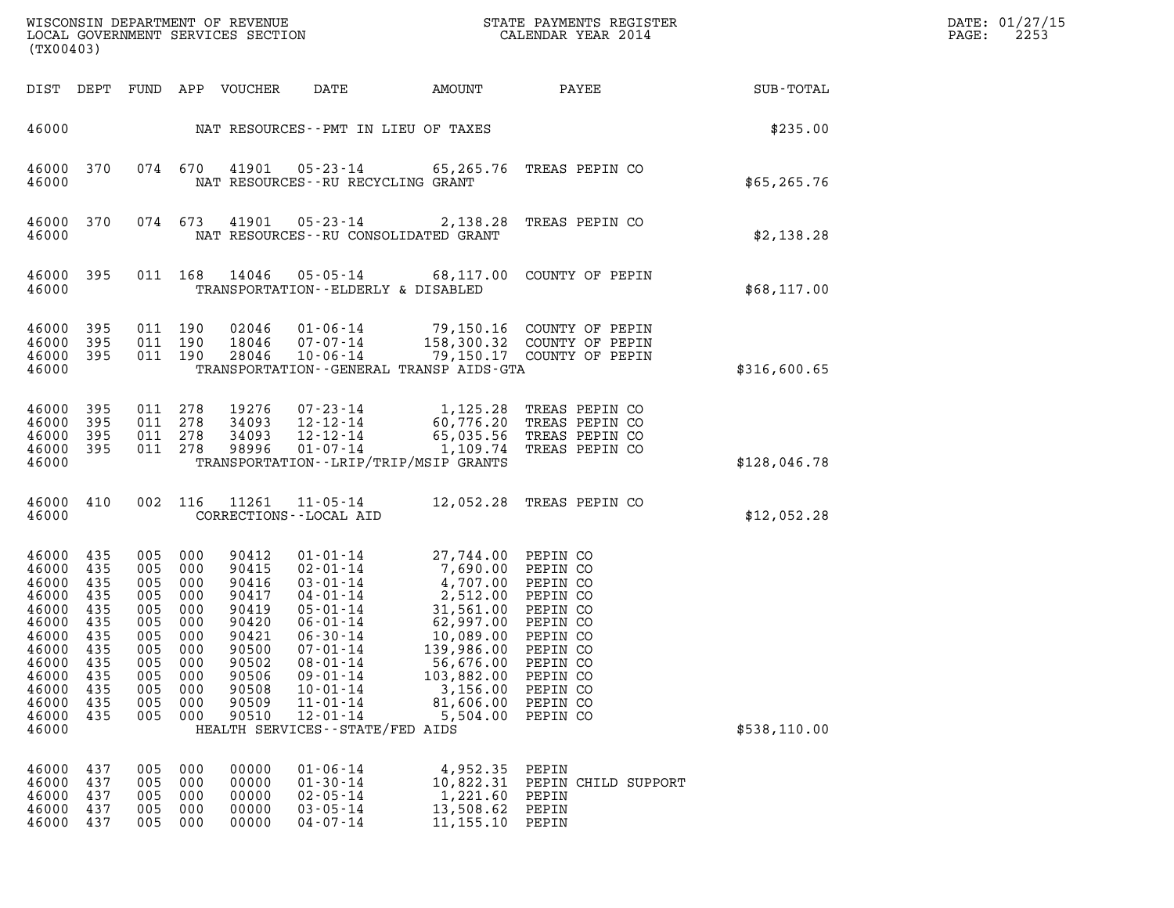| WISCONSIN DEPARTMENT OF REVENUE<br>LOCAL GOVERNMENT SERVICES SECTION<br>(TX00403)                                          |                                                                                         |                                                                                             |                                                                                  |                                                                                                                   |                                                                                                                                                                                                                                                                        |                                                                                                                                                                             | STATE PAYMENTS REGISTER<br>CALENDAR YEAR 2014                                                                                                |              | DATE: 01/27/15<br>2253<br>PAGE: |
|----------------------------------------------------------------------------------------------------------------------------|-----------------------------------------------------------------------------------------|---------------------------------------------------------------------------------------------|----------------------------------------------------------------------------------|-------------------------------------------------------------------------------------------------------------------|------------------------------------------------------------------------------------------------------------------------------------------------------------------------------------------------------------------------------------------------------------------------|-----------------------------------------------------------------------------------------------------------------------------------------------------------------------------|----------------------------------------------------------------------------------------------------------------------------------------------|--------------|---------------------------------|
|                                                                                                                            |                                                                                         |                                                                                             |                                                                                  | DIST DEPT FUND APP VOUCHER                                                                                        | DATE                                                                                                                                                                                                                                                                   | AMOUNT                                                                                                                                                                      | PAYEE                                                                                                                                        | SUB-TOTAL    |                                 |
| 46000                                                                                                                      |                                                                                         |                                                                                             |                                                                                  |                                                                                                                   | NAT RESOURCES - PMT IN LIEU OF TAXES                                                                                                                                                                                                                                   |                                                                                                                                                                             |                                                                                                                                              | \$235.00     |                                 |
| 46000 370<br>46000                                                                                                         |                                                                                         | 074 670                                                                                     |                                                                                  | 41901                                                                                                             | 05-23-14<br>NAT RESOURCES -- RU RECYCLING GRANT                                                                                                                                                                                                                        |                                                                                                                                                                             | 65,265.76 TREAS PEPIN CO                                                                                                                     | \$65, 265.76 |                                 |
| 46000 370<br>46000                                                                                                         |                                                                                         | 074 673                                                                                     |                                                                                  | 41901                                                                                                             | 05-23-14<br>NAT RESOURCES - - RU CONSOLIDATED GRANT                                                                                                                                                                                                                    |                                                                                                                                                                             | 2,138.28 TREAS PEPIN CO                                                                                                                      | \$2,138.28   |                                 |
| 46000 395<br>46000                                                                                                         |                                                                                         | 011 168                                                                                     |                                                                                  | 14046                                                                                                             | 05-05-14<br>TRANSPORTATION--ELDERLY & DISABLED                                                                                                                                                                                                                         |                                                                                                                                                                             | 68,117.00 COUNTY OF PEPIN                                                                                                                    | \$68,117.00  |                                 |
| 46000<br>46000<br>46000<br>46000                                                                                           | 395<br>395<br>- 395                                                                     | 011 190<br>011 190<br>011 190                                                               |                                                                                  | 02046<br>18046<br>28046                                                                                           | 01-06-14<br>$07 - 07 - 14$<br>$10 - 06 - 14$                                                                                                                                                                                                                           | TRANSPORTATION - - GENERAL TRANSP AIDS - GTA                                                                                                                                | 79,150.16 COUNTY OF PEPIN<br>158,300.32 COUNTY OF PEPIN<br>79,150.17 COUNTY OF PEPIN                                                         | \$316,600.65 |                                 |
| 46000<br>46000<br>46000<br>46000 395<br>46000                                                                              | 395<br>395<br>395                                                                       | 011<br>011 278<br>011 278<br>011 278                                                        | 278                                                                              | 19276<br>34093<br>34093<br>98996                                                                                  | 07-23-14<br>12-12-14<br>12-12-14<br>$01 - 07 - 14$                                                                                                                                                                                                                     | 65,035.56<br>1,109.74<br>TRANSPORTATION - - LRIP/TRIP/MSIP GRANTS                                                                                                           | 1,125.28 TREAS PEPIN CO<br>60,776.20 TREAS PEPIN CO<br>TREAS PEPIN CO<br>TREAS PEPIN CO                                                      | \$128,046.78 |                                 |
| 46000 410<br>46000                                                                                                         |                                                                                         | 002 116                                                                                     |                                                                                  | 11261                                                                                                             | 11-05-14<br>CORRECTIONS - - LOCAL AID                                                                                                                                                                                                                                  |                                                                                                                                                                             | 12,052.28 TREAS PEPIN CO                                                                                                                     | \$12,052.28  |                                 |
| 46000<br>46000<br>46000<br>46000<br>46000<br>46000<br>46000<br>46000<br>46000<br>46000<br>46000<br>46000<br>46000<br>46000 | 435<br>435<br>435<br>435<br>435<br>435<br>435<br>435<br>435<br>435<br>435<br>435<br>435 | 005<br>005<br>005<br>005<br>005<br>005<br>005 000<br>005<br>005<br>005<br>005<br>005<br>005 | 000<br>000<br>000<br>000<br>000<br>000<br>000<br>000<br>000<br>000<br>000<br>000 | 90412<br>90415<br>90416<br>90417<br>90419<br>90420<br>90421<br>90500<br>90502<br>90506<br>90508<br>90509<br>90510 | $01 - 01 - 14$<br>$02 - 01 - 14$<br>$03 - 01 - 14$<br>04-01-14<br>$05 - 01 - 14$<br>$06 - 01 - 14$<br>$06 - 30 - 14$<br>$07 - 01 - 14$<br>$08 - 01 - 14$<br>$09 - 01 - 14$<br>$10 - 01 - 14$<br>$11 - 01 - 14$<br>$12 - 01 - 14$<br>HEALTH SERVICES - - STATE/FED AIDS | 27,744.00 PEPIN CO<br>7,690.00<br>4,707.00<br>2,512.00<br>31,561.00<br>62,997.00<br>10,089.00<br>139,986.00<br>56,676.00<br>103,882.00<br>3,156.00<br>81,606.00<br>5,504.00 | PEPIN CO<br>PEPIN CO<br>PEPIN CO<br>PEPIN CO<br>PEPIN CO<br>PEPIN CO<br>PEPIN CO<br>PEPIN CO<br>PEPIN CO<br>PEPIN CO<br>PEPIN CO<br>PEPIN CO | \$538,110.00 |                                 |
| 46000<br>46000<br>46000<br>46000<br>46000                                                                                  | 437<br>437<br>437<br>437<br>437                                                         | 005<br>005<br>005<br>005<br>005                                                             | 000<br>000<br>000<br>000<br>000                                                  | 00000<br>00000<br>00000<br>00000<br>00000                                                                         | $01 - 06 - 14$<br>$01 - 30 - 14$<br>$02 - 05 - 14$<br>$03 - 05 - 14$<br>$04 - 07 - 14$                                                                                                                                                                                 | 4,952.35<br>10,822.31<br>1,221.60<br>13,508.62<br>11,155.10                                                                                                                 | PEPIN<br>PEPIN CHILD SUPPORT<br>PEPIN<br>PEPIN<br>PEPIN                                                                                      |              |                                 |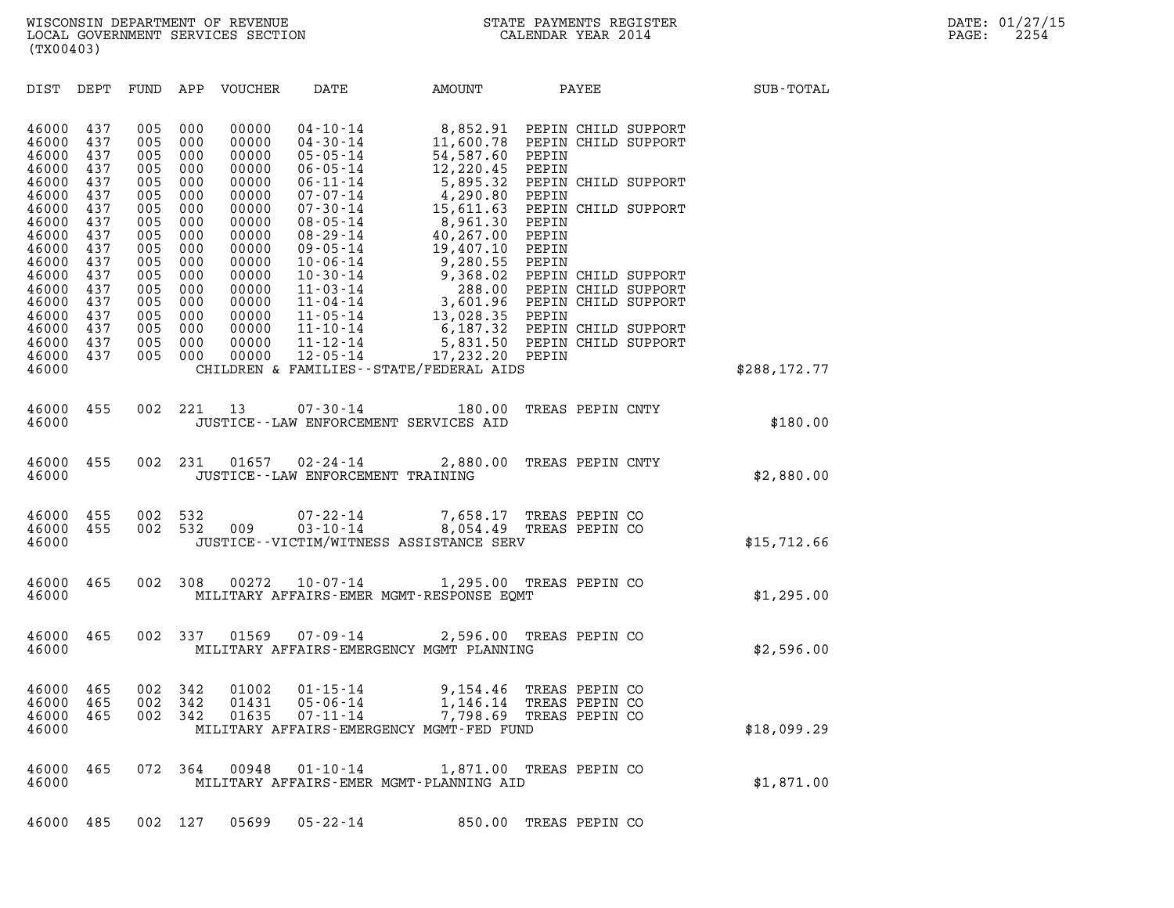| (TX00403)                                          |                                        |                                        |                                        |                                                    |                                                                                                                           |                                                                                 |                                  |                                  |                                                   |              |  |
|----------------------------------------------------|----------------------------------------|----------------------------------------|----------------------------------------|----------------------------------------------------|---------------------------------------------------------------------------------------------------------------------------|---------------------------------------------------------------------------------|----------------------------------|----------------------------------|---------------------------------------------------|--------------|--|
| DIST                                               | DEPT                                   | FUND                                   | APP                                    | VOUCHER                                            | DATE                                                                                                                      | AMOUNT                                                                          |                                  | PAYEE                            |                                                   | SUB-TOTAL    |  |
| 46000<br>46000<br>46000<br>46000<br>46000          | 437<br>437<br>437<br>437<br>437        | 005<br>005<br>005<br>005<br>005        | 000<br>000<br>000<br>000<br>000        | 00000<br>00000<br>00000<br>00000<br>00000          | $04 - 10 - 14$<br>$04 - 30 - 14$<br>$05 - 05 - 14$<br>$06 - 05 - 14$<br>$06 - 11 - 14$                                    | 8,852.91<br>11,600.78 PEPIN CHILD SUPPORT<br>54,587.60<br>12,220.45<br>5,895.32 | PEPIN<br>PEPIN                   |                                  | PEPIN CHILD SUPPORT<br>PEPIN CHILD SUPPORT        |              |  |
| 46000<br>46000<br>46000<br>46000<br>46000<br>46000 | 437<br>437<br>437<br>437<br>437<br>437 | 005<br>005<br>005<br>005<br>005<br>005 | 000<br>000<br>000<br>000<br>000<br>000 | 00000<br>00000<br>00000<br>00000<br>00000<br>00000 | $07 - 07 - 14$<br>$07 - 30 - 14$<br>$08 - 05 - 14$<br>$08 - 29 - 14$<br>$09 - 05 - 14$<br>$10 - 06 - 14$                  | 4,290.80<br>15,611.63<br>8,961.30<br>40,267.00 PEPIN<br>19,407.10<br>9,280.55   | PEPIN<br>PEPIN<br>PEPIN<br>PEPIN |                                  | PEPIN CHILD SUPPORT                               |              |  |
| 46000<br>46000<br>46000<br>46000                   | 437<br>437<br>437<br>437               | 005<br>005<br>005<br>005               | 000<br>000<br>000<br>000               | 00000<br>00000<br>00000<br>00000                   | $10 - 30 - 14$<br>$11 - 03 - 14$<br>$11 - 04 - 14$<br>$11 - 05 - 14$                                                      | 9,368.02<br>3,601.96 PEPIN CHILD SUPPORT<br>13,028.35 PEPIN                     |                                  |                                  | PEPIN CHILD SUPPORT<br>288.00 PEPIN CHILD SUPPORT |              |  |
| 46000<br>46000<br>46000<br>46000                   | 437<br>437<br>437                      | 005<br>005<br>005                      | 000<br>000<br>000                      | 00000<br>00000<br>00000                            | $11 - 10 - 14$<br>$11 - 12 - 14$<br>$12 - 05 - 14$<br>CHILDREN & FAMILIES - - STATE/FEDERAL AIDS                          | 6,187.32 PEPIN CHILD SUPPORT<br>5,831.50 PEPIN CHILD SUPPORT<br>17,232.20 PEPIN |                                  |                                  |                                                   | \$288,172.77 |  |
| 46000<br>46000                                     | 455                                    | 002                                    | 221                                    | 13                                                 | $07 - 30 - 14$<br>JUSTICE -- LAW ENFORCEMENT SERVICES AID                                                                 | 180.00                                                                          |                                  | TREAS PEPIN CNTY                 |                                                   | \$180.00     |  |
| 46000<br>46000                                     | 455                                    | 002                                    | 231                                    | 01657                                              | $02 - 24 - 14$<br>JUSTICE - - LAW ENFORCEMENT TRAINING                                                                    | 2,880.00                                                                        |                                  | TREAS PEPIN CNTY                 |                                                   | \$2,880.00   |  |
| 46000<br>46000<br>46000                            | 455<br>455                             | 002<br>002                             | 532<br>532                             | 009                                                | 07-22-14<br>$03 - 10 - 14$<br>JUSTICE - - VICTIM/WITNESS ASSISTANCE SERV                                                  | 7,658.17 TREAS PEPIN CO<br>8,054.49                                             |                                  | TREAS PEPIN CO                   |                                                   | \$15,712.66  |  |
| 46000<br>46000                                     | 465                                    | 002                                    | 308                                    | 00272                                              | $10 - 07 - 14$<br>MILITARY AFFAIRS-EMER MGMT-RESPONSE EQMT                                                                | 1,295.00 TREAS PEPIN CO                                                         |                                  |                                  |                                                   | \$1,295.00   |  |
| 46000<br>46000                                     | 465                                    | 002                                    | 337                                    | 01569                                              | $07 - 09 - 14$<br>MILITARY AFFAIRS-EMERGENCY MGMT PLANNING                                                                | 2,596.00 TREAS PEPIN CO                                                         |                                  |                                  |                                                   | \$2,596.00   |  |
| 46000<br>46000<br>46000<br>46000                   | 465<br>465<br>465                      | 002<br>002                             | 342<br>342<br>002 342                  | 01002<br>01431                                     | $01 - 15 - 14$<br>$05 - 06 - 14$<br>01635  07-11-14  7,798.69  TREAS PEPIN CO<br>MILITARY AFFAIRS-EMERGENCY MGMT-FED FUND | 9,154.46<br>1,146.14                                                            |                                  | TREAS PEPIN CO<br>TREAS PEPIN CO |                                                   | \$18,099.29  |  |
| 46000<br>46000                                     | 465                                    |                                        | 072 364                                | 00948                                              | $01 - 10 - 14$<br>MILITARY AFFAIRS-EMER MGMT-PLANNING AID                                                                 | 1,871.00 TREAS PEPIN CO                                                         |                                  |                                  |                                                   | \$1,871.00   |  |
| 46000                                              | 485                                    | 002                                    | 127                                    | 05699                                              | $05 - 22 - 14$                                                                                                            | 850.00                                                                          |                                  | TREAS PEPIN CO                   |                                                   |              |  |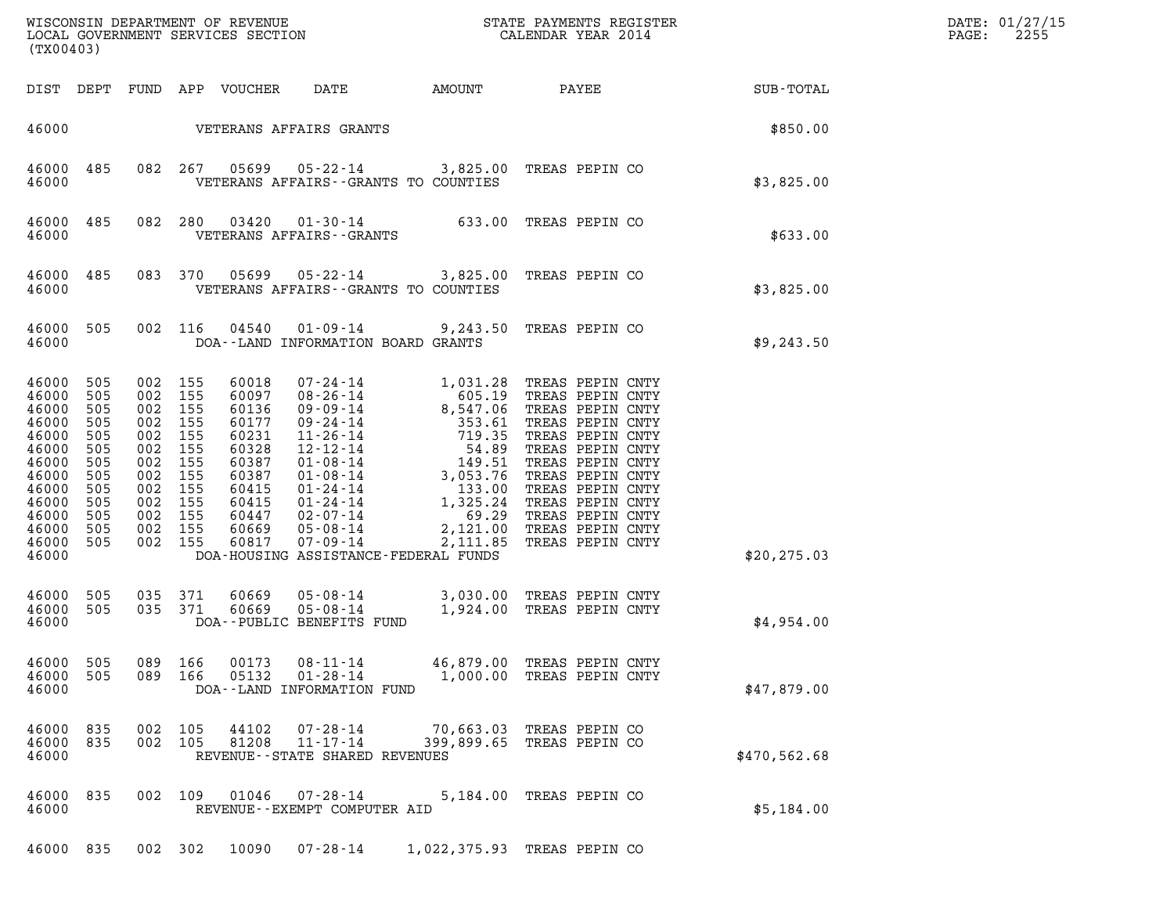| (TX00403)                                                                                                                                                                                                                                                                                   |                                                                                                                                                                                                                                                                                                                                    |                                          |                                                                                                                                                                                                                                                                  |              | DATE: 01/27/15<br>2255<br>PAGE: |
|---------------------------------------------------------------------------------------------------------------------------------------------------------------------------------------------------------------------------------------------------------------------------------------------|------------------------------------------------------------------------------------------------------------------------------------------------------------------------------------------------------------------------------------------------------------------------------------------------------------------------------------|------------------------------------------|------------------------------------------------------------------------------------------------------------------------------------------------------------------------------------------------------------------------------------------------------------------|--------------|---------------------------------|
| DIST DEPT                                                                                                                                                                                                                                                                                   | DATE<br>AMOUNT<br>FUND APP VOUCHER                                                                                                                                                                                                                                                                                                 |                                          | PAYEE                                                                                                                                                                                                                                                            | SUB-TOTAL    |                                 |
| 46000                                                                                                                                                                                                                                                                                       | VETERANS AFFAIRS GRANTS                                                                                                                                                                                                                                                                                                            |                                          |                                                                                                                                                                                                                                                                  | \$850.00     |                                 |
| 46000 485<br>082<br>46000                                                                                                                                                                                                                                                                   | 05699<br>05-22-14<br>267<br>VETERANS AFFAIRS -- GRANTS TO COUNTIES                                                                                                                                                                                                                                                                 |                                          | 3,825.00 TREAS PEPIN CO                                                                                                                                                                                                                                          | \$3,825.00   |                                 |
| 485<br>082<br>46000<br>46000                                                                                                                                                                                                                                                                | 01-30-14 633.00 TREAS PEPIN CO<br>280<br>03420<br>VETERANS AFFAIRS - - GRANTS                                                                                                                                                                                                                                                      |                                          |                                                                                                                                                                                                                                                                  | \$633.00     |                                 |
| 46000<br>485<br>46000                                                                                                                                                                                                                                                                       | 083 370<br>05699<br>05-22-14<br>VETERANS AFFAIRS -- GRANTS TO COUNTIES                                                                                                                                                                                                                                                             | 3,825.00                                 | TREAS PEPIN CO                                                                                                                                                                                                                                                   | \$3,825.00   |                                 |
| 46000<br>505<br>46000                                                                                                                                                                                                                                                                       | 002 116<br>04540<br>$01 - 09 - 14$<br>DOA--LAND INFORMATION BOARD GRANTS                                                                                                                                                                                                                                                           | 9,243.50                                 | TREAS PEPIN CO                                                                                                                                                                                                                                                   | \$9,243.50   |                                 |
| 46000<br>505<br>46000<br>505<br>46000<br>505<br>002<br>46000<br>505<br>002<br>46000<br>505<br>002<br>46000<br>505<br>002<br>46000<br>505<br>002<br>46000<br>505<br>002<br>46000<br>505<br>002<br>46000<br>505<br>002<br>46000<br>505<br>002<br>46000<br>505<br>002<br>46000<br>505<br>46000 | 002 155<br>60018<br>$07 - 24 - 14$<br>002 155<br>$08 - 26 - 14$<br>60097<br>$09 - 09 - 14$<br>155<br>60136<br>155<br>60177<br>09-24-14<br>155<br>60231<br>155<br>60328<br>155<br>60387<br>155<br>60387<br>155<br>60415<br>155<br>60415<br>155<br>60447<br>155<br>60669<br>002 155<br>60817<br>DOA-HOUSING ASSISTANCE-FEDERAL FUNDS | 1,031.28<br>605.19<br>8,547.06<br>353.61 | TREAS PEPIN CNTY<br>TREAS PEPIN CNTY<br>TREAS PEPIN CNTY<br>TREAS PEPIN CNTY<br>TREAS PEPIN CNTY<br>TREAS PEPIN CNTY<br>TREAS PEPIN CNTY<br>TREAS PEPIN CNTY<br>TREAS PEPIN CNTY<br>TREAS PEPIN CNTY<br>TREAS PEPIN CNTY<br>TREAS PEPIN CNTY<br>TREAS PEPIN CNTY | \$20, 275.03 |                                 |
| 46000<br>505<br>035<br>46000<br>505<br>46000                                                                                                                                                                                                                                                | 60669<br>371<br>$05 - 08 - 14$<br>$05 - 08 - 14$<br>035 371<br>60669<br>DOA--PUBLIC BENEFITS FUND                                                                                                                                                                                                                                  | 3,030.00<br>1,924.00                     | TREAS PEPIN CNTY<br>TREAS PEPIN CNTY                                                                                                                                                                                                                             | \$4,954.00   |                                 |
| 46000<br>505<br>46000<br>505<br>46000                                                                                                                                                                                                                                                       | 089 166<br>00173<br>08-11-14<br>089 166<br>05132<br>$01 - 28 - 14$<br>DOA--LAND INFORMATION FUND                                                                                                                                                                                                                                   | 46,879.00<br>1,000.00                    | TREAS PEPIN CNTY<br>TREAS PEPIN CNTY                                                                                                                                                                                                                             | \$47,879.00  |                                 |
| 46000<br>835<br>002<br>46000<br>835<br>46000                                                                                                                                                                                                                                                | $07 - 28 - 14$<br>105<br>44102<br>002 105<br>81208<br>$11 - 17 - 14$<br>REVENUE - - STATE SHARED REVENUES                                                                                                                                                                                                                          | 70,663.03<br>399,899.65                  | TREAS PEPIN CO<br>TREAS PEPIN CO                                                                                                                                                                                                                                 | \$470,562.68 |                                 |
| 46000<br>835<br>46000                                                                                                                                                                                                                                                                       | 002 109<br>01046<br>$07 - 28 - 14$<br>REVENUE - - EXEMPT COMPUTER AID                                                                                                                                                                                                                                                              |                                          | 5,184.00 TREAS PEPIN CO                                                                                                                                                                                                                                          | \$5,184.00   |                                 |
| 46000<br>835                                                                                                                                                                                                                                                                                | $07 - 28 - 14$<br>002 302<br>10090                                                                                                                                                                                                                                                                                                 |                                          | 1,022,375.93 TREAS PEPIN CO                                                                                                                                                                                                                                      |              |                                 |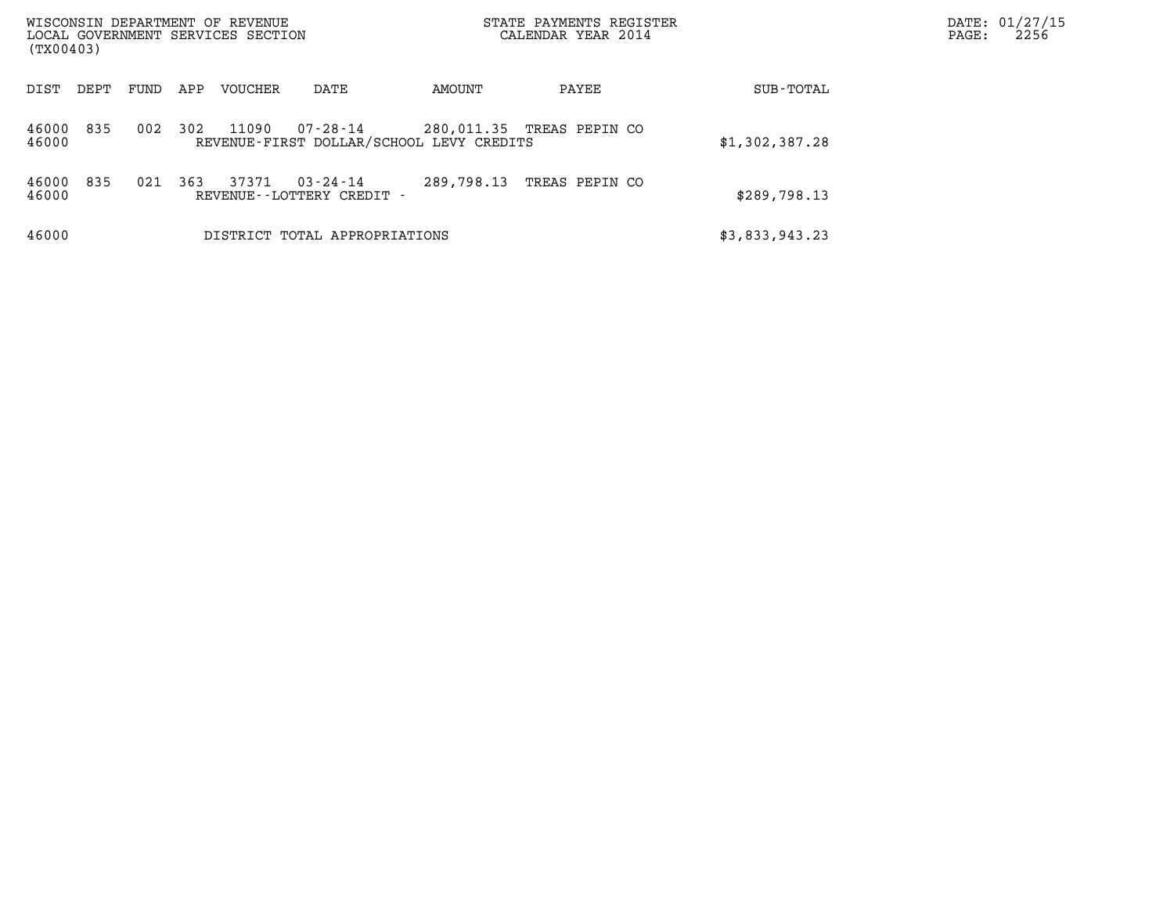| (TX00403)      |      |      |     | WISCONSIN DEPARTMENT OF REVENUE<br>LOCAL GOVERNMENT SERVICES SECTION |                                       | STATE PAYMENTS REGISTER<br>CALENDAR YEAR 2014 |                           |                | DATE: 01/27/15<br>2256<br>PAGE: |
|----------------|------|------|-----|----------------------------------------------------------------------|---------------------------------------|-----------------------------------------------|---------------------------|----------------|---------------------------------|
| DIST           | DEPT | FUND | APP | VOUCHER                                                              | DATE                                  | AMOUNT                                        | PAYEE                     | SUB-TOTAL      |                                 |
| 46000<br>46000 | 835  | 002  | 302 | 11090                                                                | 07-28-14                              | REVENUE-FIRST DOLLAR/SCHOOL LEVY CREDITS      | 280,011.35 TREAS PEPIN CO | \$1,302,387.28 |                                 |
| 46000<br>46000 | 835  | 021  | 363 | 37371                                                                | 03-24-14<br>REVENUE--LOTTERY CREDIT - | 289,798.13                                    | TREAS PEPIN CO            | \$289,798.13   |                                 |
| 46000          |      |      |     |                                                                      | DISTRICT TOTAL APPROPRIATIONS         |                                               |                           | \$3,833,943.23 |                                 |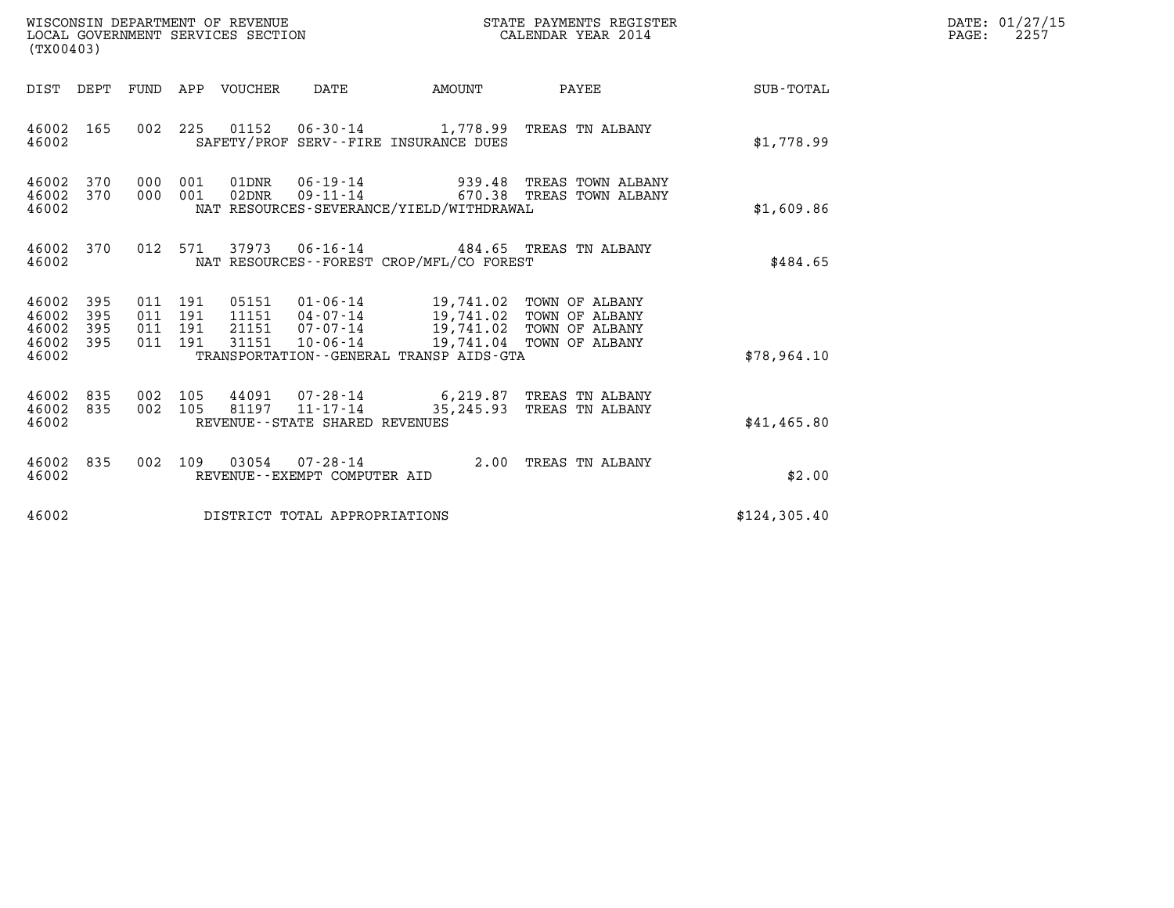| WISCONSIN DEPARTMENT OF REVENUE<br>STATE PAYMENTS REGISTER<br>CALENDAR YEAR 2014<br>LOCAL GOVERNMENT SERVICES SECTION<br>(TX00403) |                          |                               |         |                                |                                |                                                                                                                                                                                    |                                                                                          |                 | DATE: 01/27/15<br>$\mathtt{PAGE:}$<br>2257 |
|------------------------------------------------------------------------------------------------------------------------------------|--------------------------|-------------------------------|---------|--------------------------------|--------------------------------|------------------------------------------------------------------------------------------------------------------------------------------------------------------------------------|------------------------------------------------------------------------------------------|-----------------|--------------------------------------------|
| DIST DEPT                                                                                                                          |                          |                               |         | FUND APP VOUCHER DATE          |                                | AMOUNT                                                                                                                                                                             |                                                                                          | PAYEE SUB-TOTAL |                                            |
| 46002 165<br>46002                                                                                                                 |                          |                               |         |                                |                                | SAFETY/PROF SERV--FIRE INSURANCE DUES                                                                                                                                              | 002 225 01152 06-30-14 1,778.99 TREAS TN ALBANY                                          | \$1,778.99      |                                            |
| 46002 370<br>46002<br>46002                                                                                                        | 370                      |                               |         | 000 001 01DNR<br>000 001 02DNR |                                | NAT RESOURCES-SEVERANCE/YIELD/WITHDRAWAL                                                                                                                                           | 06-19-14 939.48 TREAS TOWN ALBANY<br>09-11-14 670.38 TREAS TOWN ALBANY                   | \$1,609.86      |                                            |
| 46002<br>46002                                                                                                                     | 370                      |                               |         |                                |                                | NAT RESOURCES--FOREST CROP/MFL/CO FOREST                                                                                                                                           | 012 571 37973 06-16-14 484.65 TREAS TN ALBANY                                            | \$484.65        |                                            |
| 46002<br>46002<br>46002<br>46002<br>46002                                                                                          | 395<br>395<br>395<br>395 | 011 191<br>011 191<br>011 191 | 011 191 | 11151<br>21151<br>31151        | 07-07-14<br>$10 - 06 - 14$     | 05151  01-06-14  19,741.02  TOWN OF ALBANY<br>04-07-14 19,741.02 TOWN OF ALBANY<br>19,741.02 TOWN OF ALBANY<br>19,741.04 TOWN OF ALBANY<br>TRANSPORTATION--GENERAL TRANSP AIDS-GTA |                                                                                          | \$78,964.10     |                                            |
| 46002<br>46002 835<br>46002                                                                                                        | 835                      | 002 105                       | 002 105 |                                | REVENUE--STATE SHARED REVENUES |                                                                                                                                                                                    | 44091 07-28-14 6,219.87 TREAS TN ALBANY<br>81197  11-17-14  35, 245. 93  TREAS TN ALBANY | \$41, 465.80    |                                            |
| 46002<br>46002                                                                                                                     | 835                      |                               |         |                                | REVENUE--EXEMPT COMPUTER AID   |                                                                                                                                                                                    | 002 109 03054 07-28-14 2.00 TREAS TN ALBANY                                              | \$2.00          |                                            |
| 46002                                                                                                                              |                          |                               |         |                                | DISTRICT TOTAL APPROPRIATIONS  |                                                                                                                                                                                    |                                                                                          | \$124,305.40    |                                            |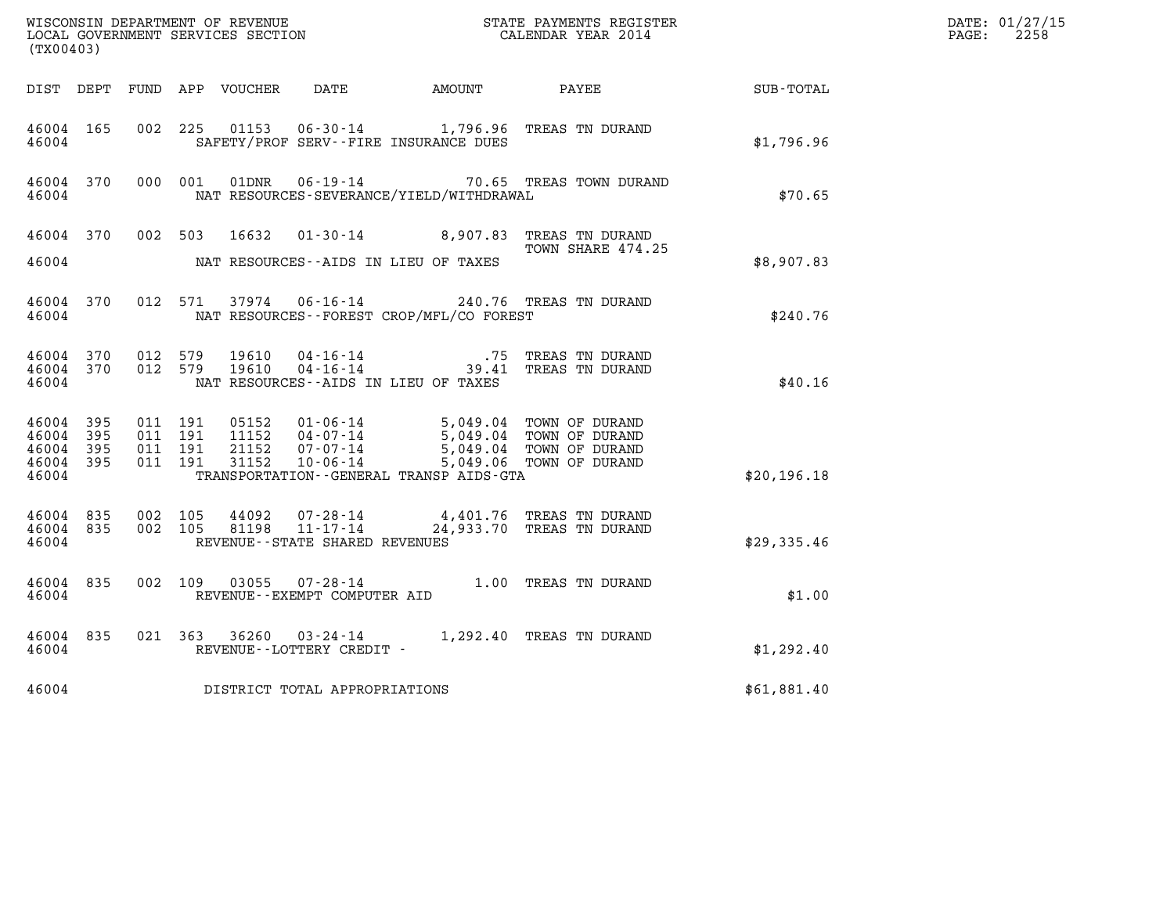| (TX00403)                                             |           |                                          |         |                                  |                                |                                                                                                                                                          |                                                                                                                                                                             |                  | DATE: 01/27/15<br>$\mathtt{PAGE:}$<br>2258 |
|-------------------------------------------------------|-----------|------------------------------------------|---------|----------------------------------|--------------------------------|----------------------------------------------------------------------------------------------------------------------------------------------------------|-----------------------------------------------------------------------------------------------------------------------------------------------------------------------------|------------------|--------------------------------------------|
|                                                       |           |                                          |         |                                  |                                | DIST DEPT FUND APP VOUCHER DATE AMOUNT PAYEE                                                                                                             |                                                                                                                                                                             | <b>SUB-TOTAL</b> |                                            |
| 46004 165<br>46004                                    |           | 002 225                                  |         |                                  |                                | SAFETY/PROF SERV--FIRE INSURANCE DUES                                                                                                                    | 01153  06-30-14   1,796.96  TREAS TN DURAND                                                                                                                                 | \$1,796.96       |                                            |
| 46004                                                 | 46004 370 |                                          | 000 001 | 01DNR                            |                                | NAT RESOURCES-SEVERANCE/YIELD/WITHDRAWAL                                                                                                                 | 06-19-14 70.65 TREAS TOWN DURAND                                                                                                                                            | \$70.65          |                                            |
| 46004                                                 | 46004 370 | 002 503                                  |         | 16632                            |                                | NAT RESOURCES--AIDS IN LIEU OF TAXES                                                                                                                     | 01-30-14 8,907.83 TREAS TN DURAND<br>TOWN SHARE 474.25                                                                                                                      | \$8,907.83       |                                            |
| 46004 370<br>46004                                    |           |                                          | 012 571 |                                  |                                | NAT RESOURCES--FOREST CROP/MFL/CO FOREST                                                                                                                 | 37974  06-16-14  240.76  TREAS TN DURAND                                                                                                                                    | \$240.76         |                                            |
| 46004 370<br>46004                                    |           | 46004 370 012 579                        | 012 579 | 19610<br>19610                   |                                | NAT RESOURCES--AIDS IN LIEU OF TAXES                                                                                                                     | .75 TREAS TN DURAND<br>04-16-14 75 TREAS TN DURAND<br>04-16-14 04-16-14 39.41 TREAS TN DURAND                                                                               | \$40.16          |                                            |
| 46004 395<br>46004<br>46004 395<br>46004 395<br>46004 | 395       | 011 191<br>011 191<br>011 191<br>011 191 |         | 05152<br>11152<br>21152<br>31152 | $10 - 06 - 14$                 | 01-06-14 5,049.04 TOWN OF DURAND<br>04-07-14 5,049.04 TOWN OF DURAND<br>07-07-14 5,049.04 TOWN OF DURAND<br>TRANSPORTATION - - GENERAL TRANSP AIDS - GTA | 5,049.06 TOWN OF DURAND                                                                                                                                                     | \$20,196.18      |                                            |
| 46004 835<br>46004 835<br>46004                       |           | 002 105<br>002 105                       |         |                                  | REVENUE--STATE SHARED REVENUES |                                                                                                                                                          | $\begin{array}{cccc} 44092 & 07\text{-}28\text{-}14 & 4,401.76 & \text{TREAS TN DURAND} \\ 81198 & 11\text{-}17\text{-}14 & 24,933.70 & \text{TREAS TN DURAND} \end{array}$ | \$29,335.46      |                                            |
| 46004 835<br>46004                                    |           |                                          |         |                                  | REVENUE--EXEMPT COMPUTER AID   |                                                                                                                                                          | 002 109 03055 07-28-14 1.00 TREAS TN DURAND                                                                                                                                 | \$1.00           |                                            |
| 46004 835<br>46004                                    |           |                                          |         |                                  | REVENUE--LOTTERY CREDIT -      |                                                                                                                                                          | 021 363 36260 03-24-14 1,292.40 TREAS TN DURAND                                                                                                                             | \$1,292.40       |                                            |
| 46004                                                 |           |                                          |         |                                  | DISTRICT TOTAL APPROPRIATIONS  |                                                                                                                                                          |                                                                                                                                                                             | \$61,881.40      |                                            |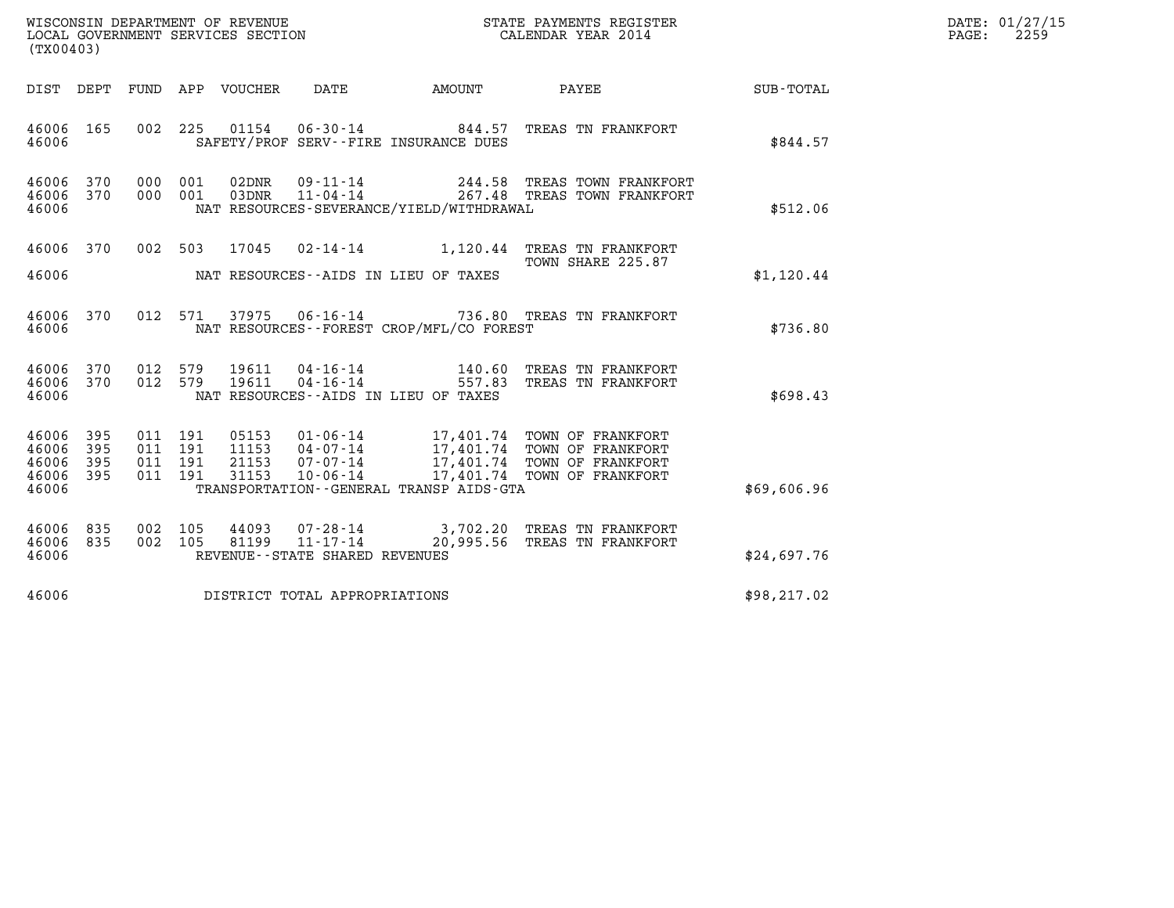| WISCONSIN DEPARTMENT OF REVENUE   | STATE PAYMENTS REGISTER | DATE: 01/27/15 |
|-----------------------------------|-------------------------|----------------|
| LOCAL GOVERNMENT SERVICES SECTION | CALENDAR YEAR 2014      | 2259<br>PAGE:  |

| WISCONSIN DEPARTMENT OF REVENUE<br>LOCAL GOVERNMENT SERVICES SECTION<br>CALENDAR YEAR 2014<br>(TX00403) |            |                                          |         |               |                                |                                          |                                                                                                                                                                                                                                                                                         |             | DATE: 01/27/15<br>PAGE:<br>2259 |
|---------------------------------------------------------------------------------------------------------|------------|------------------------------------------|---------|---------------|--------------------------------|------------------------------------------|-----------------------------------------------------------------------------------------------------------------------------------------------------------------------------------------------------------------------------------------------------------------------------------------|-------------|---------------------------------|
|                                                                                                         |            |                                          |         |               |                                | DIST DEPT FUND APP VOUCHER DATE AMOUNT   | <b>PAYEE</b> PAYEE                                                                                                                                                                                                                                                                      | SUB-TOTAL   |                                 |
| 46006 165<br>46006                                                                                      |            |                                          |         |               |                                | SAFETY/PROF SERV--FIRE INSURANCE DUES    | 002 225 01154 06-30-14 844.57 TREAS TN FRANKFORT                                                                                                                                                                                                                                        | \$844.57    |                                 |
| 46006 370<br>46006 370<br>46006                                                                         |            |                                          | 000 001 |               |                                | NAT RESOURCES-SEVERANCE/YIELD/WITHDRAWAL |                                                                                                                                                                                                                                                                                         | \$512.06    |                                 |
| 46006                                                                                                   |            |                                          |         |               |                                | NAT RESOURCES--AIDS IN LIEU OF TAXES     | 46006 370 002 503 17045 02-14-14 1,120.44 TREAS TN FRANKFORT<br>TOWN SHARE 225.87                                                                                                                                                                                                       | \$1,120.44  |                                 |
| 46006 370<br>46006                                                                                      |            |                                          |         |               |                                | NAT RESOURCES--FOREST CROP/MFL/CO FOREST | 012 571 37975 06-16-14 736.80 TREAS TN FRANKFORT                                                                                                                                                                                                                                        | \$736.80    |                                 |
| 46006 370<br>46006 370<br>46006                                                                         |            |                                          |         | 012 579 19611 |                                | NAT RESOURCES -- AIDS IN LIEU OF TAXES   | 012 579 19611 04-16-14 140.60 TREAS TN FRANKFORT 012 579 19611 04-16-14 557.83 TREAS TN FRANKFORT                                                                                                                                                                                       | \$698.43    |                                 |
| 46006<br>46006<br>46006 395<br>46006 395<br>46006                                                       | 395<br>395 | 011 191<br>011 191<br>011 191<br>011 191 |         |               |                                | TRANSPORTATION--GENERAL TRANSP AIDS-GTA  | $\begin{tabular}{c c c c c c c c c} \multicolumn{1}{c }{05153} & 01-06-14 & 17,401.74 & TOWN OF FRANKFORT \\ 11153 & 04-07-14 & 17,401.74 & TOWN OF FRANKFORT \\ 21153 & 07-07-14 & 17,401.74 & TOWN OF FRANKFORT \\ 31153 & 10-06-14 & 17,401.74 & TOWN OF FRANKFORT \\ \end{tabular}$ | \$69,606.96 |                                 |
| 46006 835<br>46006 835<br>46006                                                                         |            | 002 105                                  | 002 105 |               | REVENUE--STATE SHARED REVENUES |                                          | 44093  07-28-14  3,702.20 TREAS TN FRANKFORT<br>81199  11-17-14  20,995.56 TREAS TN FRANKFORT                                                                                                                                                                                           | \$24,697.76 |                                 |
| 46006                                                                                                   |            |                                          |         |               | DISTRICT TOTAL APPROPRIATIONS  |                                          |                                                                                                                                                                                                                                                                                         | \$98,217.02 |                                 |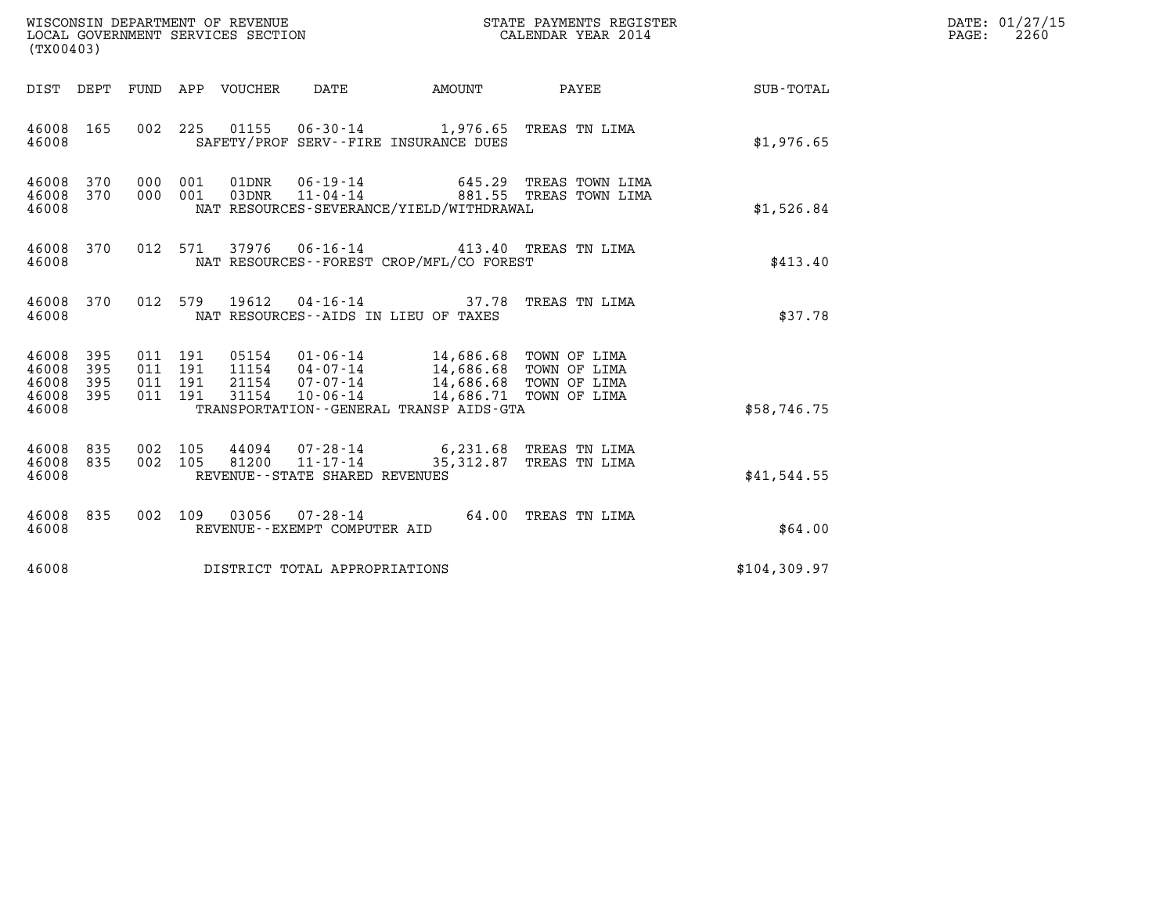| WISCONSIN DEPARTMENT OF REVENUE<br>LOCAL GOVERNMENT SERVICES SECTION | STATE PAYMENTS REGISTER<br>CALENDAR YEAR 2014 | DATE: 01/27/15<br>2260<br>PAGE: |
|----------------------------------------------------------------------|-----------------------------------------------|---------------------------------|

| (TX00403)                                                             |                          |                                                                                                                                                      |                                     |                                                                                            |                  |
|-----------------------------------------------------------------------|--------------------------|------------------------------------------------------------------------------------------------------------------------------------------------------|-------------------------------------|--------------------------------------------------------------------------------------------|------------------|
| DIST<br>DEPT                                                          | FUND<br>APP              | VOUCHER<br>DATE                                                                                                                                      | AMOUNT                              | PAYEE                                                                                      | <b>SUB-TOTAL</b> |
| 165<br>46008<br>46008                                                 | 002                      | 225<br>01155<br>SAFETY/PROF SERV--FIRE INSURANCE DUES                                                                                                | 06-30-14 1,976.65 TREAS TN LIMA     |                                                                                            | \$1,976.65       |
| 46008<br>370<br>370<br>46008<br>46008                                 | 000<br>000               | 01DNR<br>$06 - 19 - 14$<br>001<br>$11 - 04 - 14$<br>03DNR<br>001<br>NAT RESOURCES-SEVERANCE/YIELD/WITHDRAWAL                                         |                                     | 645.29 TREAS TOWN LIMA<br>881.55 TREAS TOWN LIMA                                           | \$1,526.84       |
| 370<br>46008<br>46008                                                 | 012                      | 571<br>37976<br>NAT RESOURCES - - FOREST CROP/MFL/CO FOREST                                                                                          | 06-16-14 413.40 TREAS TN LIMA       |                                                                                            | \$413.40         |
| 46008<br>370<br>46008                                                 | 012                      | 579<br>19612<br>$04 - 16 - 14$<br>NAT RESOURCES -- AIDS IN LIEU OF TAXES                                                                             | 37.78                               | TREAS TN LIMA                                                                              | \$37.78          |
| 46008<br>395<br>46008<br>395<br>46008<br>395<br>46008<br>395<br>46008 | 011<br>011<br>011<br>011 | 05154 01-06-14<br>191<br>11154<br>191<br>04-07-14<br>191<br>21154<br>07-07-14<br>31154<br>10-06-14<br>191<br>TRANSPORTATION--GENERAL TRANSP AIDS-GTA | 14,686.71                           | 14,686.68 TOWN OF LIMA<br>14,686.68 TOWN OF LIMA<br>14,686.68 TOWN OF LIMA<br>TOWN OF LIMA | \$58,746.75      |
| 835<br>46008<br>46008<br>835<br>46008                                 | 002<br>002               | 105<br>44094<br>07-28-14<br>105<br>81200<br>$11 - 17 - 14$<br>REVENUE - - STATE SHARED REVENUES                                                      | 6,231.68 TREAS TN LIMA<br>35,312.87 | TREAS TN LIMA                                                                              | \$41,544.55      |
| 46008<br>835<br>46008                                                 | 002                      | 109<br>03056<br>$07 - 28 - 14$<br>REVENUE--EXEMPT COMPUTER AID                                                                                       | 64.00                               | TREAS TN LIMA                                                                              | \$64.00          |
| 46008                                                                 |                          | DISTRICT TOTAL APPROPRIATIONS                                                                                                                        |                                     |                                                                                            | \$104, 309.97    |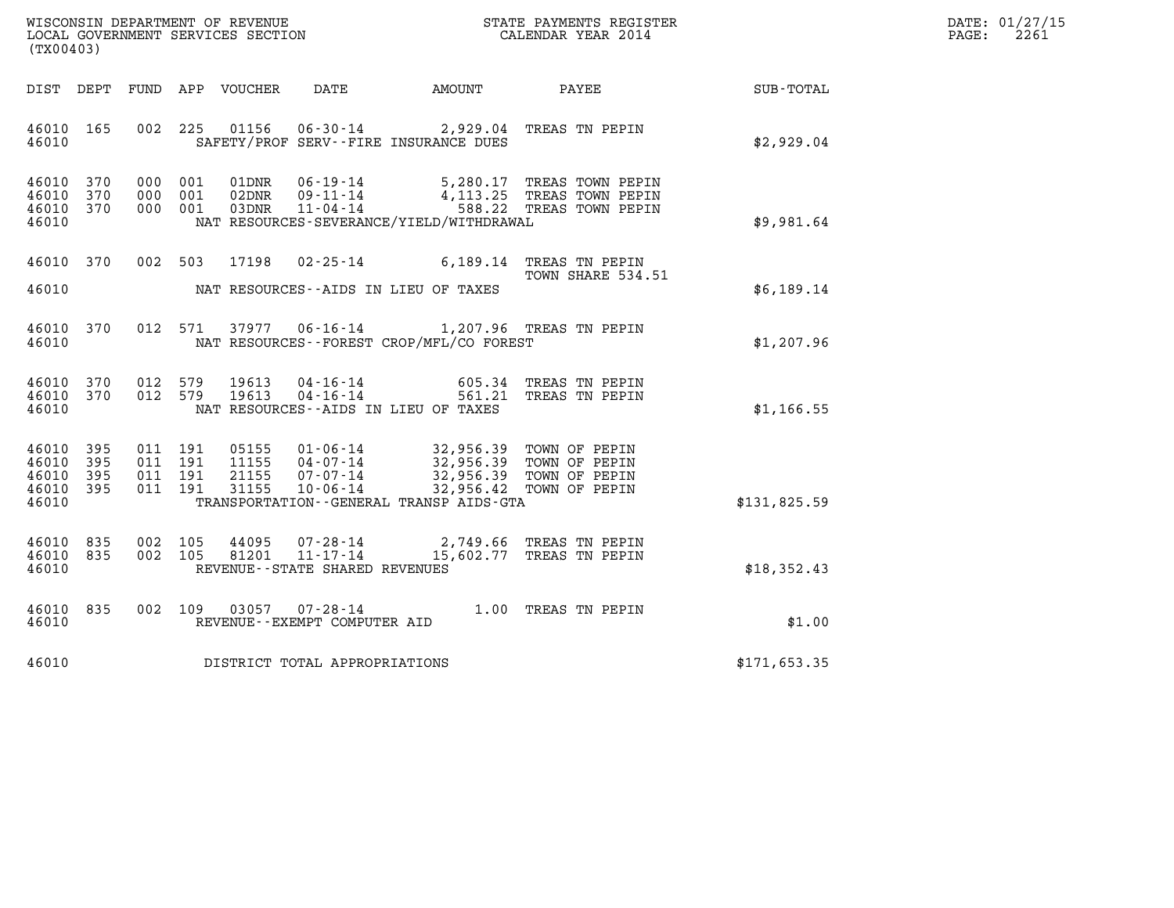| WISCONSIN DEPARTMENT OF REVENUE   | STATE PAYMENTS REGISTER | DATE: 01/27/15 |
|-----------------------------------|-------------------------|----------------|
| LOCAL GOVERNMENT SERVICES SECTION | CALENDAR YEAR 2014      | 2261<br>PAGE:  |

| (TX00403)                                                                                         | WISCONSIN DEPARTMENT OF REVENUE<br>STATE PAYMENTS REGISTER<br>LOCAL GOVERNMENT SERVICES SECTION<br>CALENDAR YEAR 2014                                                                           |                                                                                                         |                  |  |  |  |  |  |
|---------------------------------------------------------------------------------------------------|-------------------------------------------------------------------------------------------------------------------------------------------------------------------------------------------------|---------------------------------------------------------------------------------------------------------|------------------|--|--|--|--|--|
| FUND<br>DIST<br>DEPT                                                                              | APP<br>VOUCHER<br>DATE<br><b>AMOUNT</b>                                                                                                                                                         | PAYEE                                                                                                   | <b>SUB-TOTAL</b> |  |  |  |  |  |
| 165<br>002<br>46010<br>46010                                                                      | 225<br>01156<br>SAFETY/PROF SERV--FIRE INSURANCE DUES                                                                                                                                           | 06-30-14 2,929.04 TREAS TN PEPIN                                                                        | \$2,929.04       |  |  |  |  |  |
| 370<br>46010<br>000<br>46010<br>370<br>000<br>46010<br>370<br>000<br>46010                        | 06-19-14<br>001<br>01DNR<br>$09 - 11 - 14$<br>001<br>02DNR<br>001<br>03DNR<br>$11 - 04 - 14$<br>NAT RESOURCES-SEVERANCE/YIELD/WITHDRAWAL                                                        | 5,280.17 TREAS TOWN PEPIN<br>4,113.25 TREAS TOWN PEPIN<br>588.22 TREAS TOWN PEPIN                       | \$9,981.64       |  |  |  |  |  |
| 46010<br>370<br>46010                                                                             | 002 503<br>17198<br>NAT RESOURCES--AIDS IN LIEU OF TAXES                                                                                                                                        | 02-25-14 6,189.14 TREAS TN PEPIN<br>TOWN SHARE 534.51                                                   | \$6,189.14       |  |  |  |  |  |
| 370<br>012<br>46010<br>46010                                                                      | 571<br>NAT RESOURCES - - FOREST CROP/MFL/CO FOREST                                                                                                                                              | 37977  06-16-14  1,207.96  TREAS TN PEPIN                                                               | \$1,207.96       |  |  |  |  |  |
| 370<br>012<br>46010<br>012<br>46010<br>370<br>46010                                               | 579<br>19613<br>04-16-14 605.34<br>04-16-14 561.21<br>579<br>$04 - 16 - 14$<br>19613<br>NAT RESOURCES -- AIDS IN LIEU OF TAXES                                                                  | TREAS TN PEPIN<br>TREAS TN PEPIN                                                                        | \$1,166.55       |  |  |  |  |  |
| 46010<br>395<br>011<br>46010<br>395<br>011<br>395<br>46010<br>011<br>395<br>46010<br>011<br>46010 | 05155<br>01-06-14     32,956.39<br>04-07-14     32,956.39<br>191<br>191<br>11155<br>21155<br>$07 - 07 - 14$<br>191<br>191<br>31155<br>$10 - 06 - 14$<br>TRANSPORTATION--GENERAL TRANSP AIDS-GTA | TOWN OF PEPIN<br>32,956.39<br>TOWN OF PEPIN<br>32,956.39<br>TOWN OF PEPIN<br>32,956.42<br>TOWN OF PEPIN | \$131,825.59     |  |  |  |  |  |
| 46010<br>835<br>002<br>46010<br>002<br>835<br>46010                                               | 105<br>44095<br>81201<br>105<br>REVENUE - - STATE SHARED REVENUES                                                                                                                               | 07-28-14 2,749.66 TREAS TN PEPIN<br>11-17-14 15,602.77 TREAS TN PEPIN                                   | \$18,352.43      |  |  |  |  |  |
| 46010<br>835<br>002<br>46010                                                                      | 109<br>03057<br>$07 - 28 - 14$<br>REVENUE--EXEMPT COMPUTER AID                                                                                                                                  | 1.00 TREAS TN PEPIN                                                                                     | \$1.00           |  |  |  |  |  |
| 46010                                                                                             | DISTRICT TOTAL APPROPRIATIONS                                                                                                                                                                   |                                                                                                         | \$171,653.35     |  |  |  |  |  |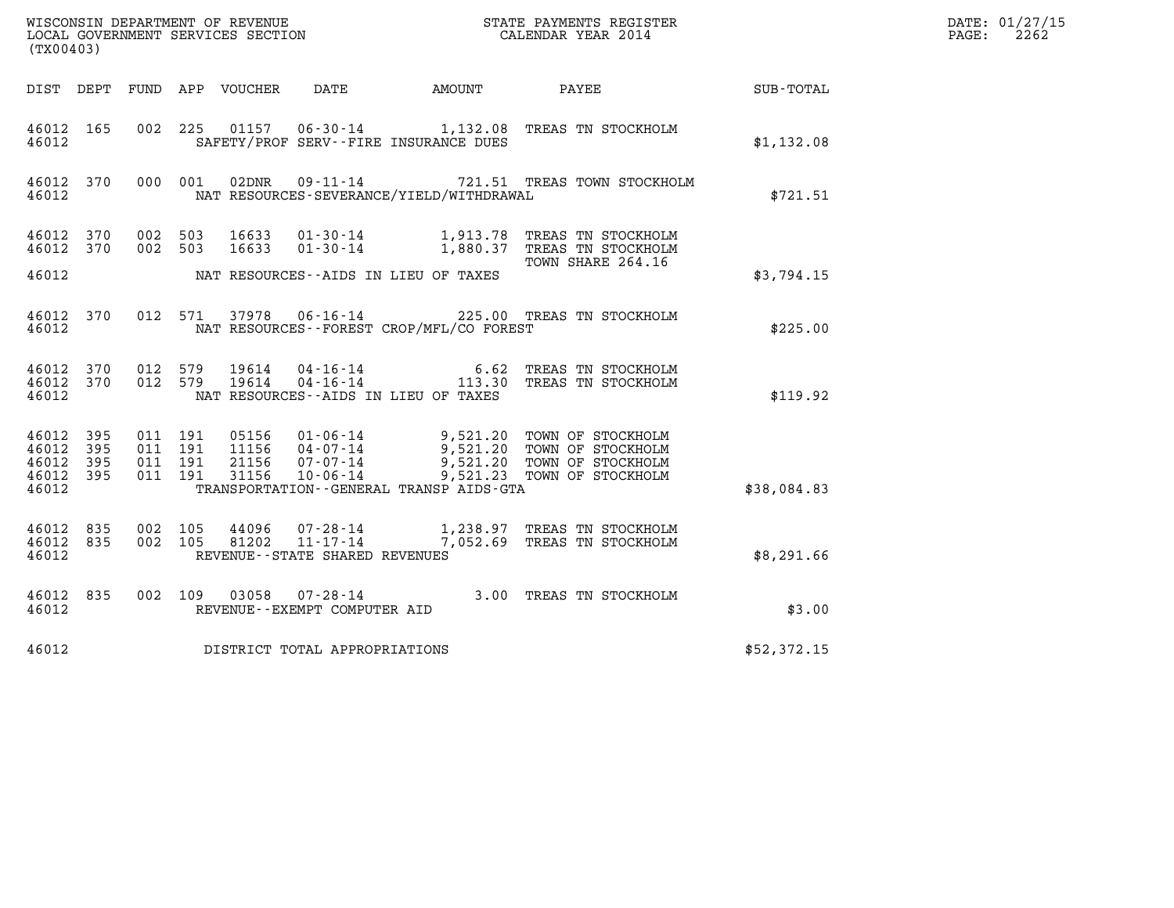| WISCONSIN DEPARTMENT OF REVENUE<br>LOCAL GOVERNMENT SERVICES SECTION<br>(TWO 1403)<br>(TX00403) |                               |                                          |         |                |                                |                                          |                                                                                                                                                                                  |             | DATE: 01/27/15<br>$\mathtt{PAGE:}$<br>2262 |
|-------------------------------------------------------------------------------------------------|-------------------------------|------------------------------------------|---------|----------------|--------------------------------|------------------------------------------|----------------------------------------------------------------------------------------------------------------------------------------------------------------------------------|-------------|--------------------------------------------|
|                                                                                                 |                               |                                          |         |                |                                |                                          | DIST DEPT FUND APP VOUCHER DATE AMOUNT PAYEE                                                                                                                                     | SUB-TOTAL   |                                            |
| 46012 165<br>46012                                                                              |                               |                                          |         |                |                                | SAFETY/PROF SERV--FIRE INSURANCE DUES    | 002 225 01157 06-30-14 1,132.08 TREAS TN STOCKHOLM                                                                                                                               | \$1,132.08  |                                            |
| 46012                                                                                           | 46012 370                     |                                          | 000 001 |                |                                | NAT RESOURCES-SEVERANCE/YIELD/WITHDRAWAL | 02DNR 09-11-14 721.51 TREAS TOWN STOCKHOLM                                                                                                                                       | \$721.51    |                                            |
| 46012 370<br>46012 370                                                                          |                               |                                          |         |                |                                |                                          | 002 503 16633 01-30-14 1,913.78 TREAS TN STOCKHOLM<br>002 503 16633 01-30-14 1,880.37 TREAS TN STOCKHOLM<br>TOWN SHARE 264.16                                                    |             |                                            |
| 46012                                                                                           |                               |                                          |         |                |                                | NAT RESOURCES--AIDS IN LIEU OF TAXES     |                                                                                                                                                                                  | \$3,794.15  |                                            |
| 46012                                                                                           | 46012 370                     |                                          |         |                |                                | NAT RESOURCES--FOREST CROP/MFL/CO FOREST | 012 571 37978 06-16-14 225.00 TREAS TN STOCKHOLM                                                                                                                                 | \$225.00    |                                            |
| 46012 370<br>46012                                                                              | 46012 370                     | 012 579<br>012 579                       |         | 19614<br>19614 |                                | NAT RESOURCES--AIDS IN LIEU OF TAXES     | 04-16-14 6.62 TREAS TN STOCKHOLM<br>04-16-14 113.30 TREAS TN STOCKHOLM                                                                                                           | \$119.92    |                                            |
| 46012 395<br>46012<br>46012<br>46012                                                            | 395<br>395<br>395             | 011 191<br>011 191<br>011 191<br>011 191 |         |                |                                |                                          | 05156 01-06-14 9,521.20 TOWN OF STOCKHOLM<br>11156 04-07-14 9,521.20 TOWN OF STOCKHOLM<br>21156 07-07-14 9,521.20 TOWN OF STOCKHOLM<br>31156 10-06-14 9,521.23 TOWN OF STOCKHOLM |             |                                            |
| 46012                                                                                           |                               |                                          |         |                |                                | TRANSPORTATION--GENERAL TRANSP AIDS-GTA  |                                                                                                                                                                                  | \$38,084.83 |                                            |
| 46012 835<br>46012 835<br>46012                                                                 |                               | 002 105                                  | 002 105 |                | REVENUE--STATE SHARED REVENUES |                                          | $44096$ 07-28-14 $1,238.97$ TREAS TN STOCKHOLM 81202   11-17-14   7,052.69 TREAS TN STOCKHOLM                                                                                    | \$8,291.66  |                                            |
| 46012 835<br>46012                                                                              |                               |                                          |         |                | REVENUE--EXEMPT COMPUTER AID   |                                          | 002 109 03058 07-28-14 3.00 TREAS TN STOCKHOLM                                                                                                                                   | \$3.00      |                                            |
| 46012                                                                                           | DISTRICT TOTAL APPROPRIATIONS |                                          |         |                |                                |                                          |                                                                                                                                                                                  |             |                                            |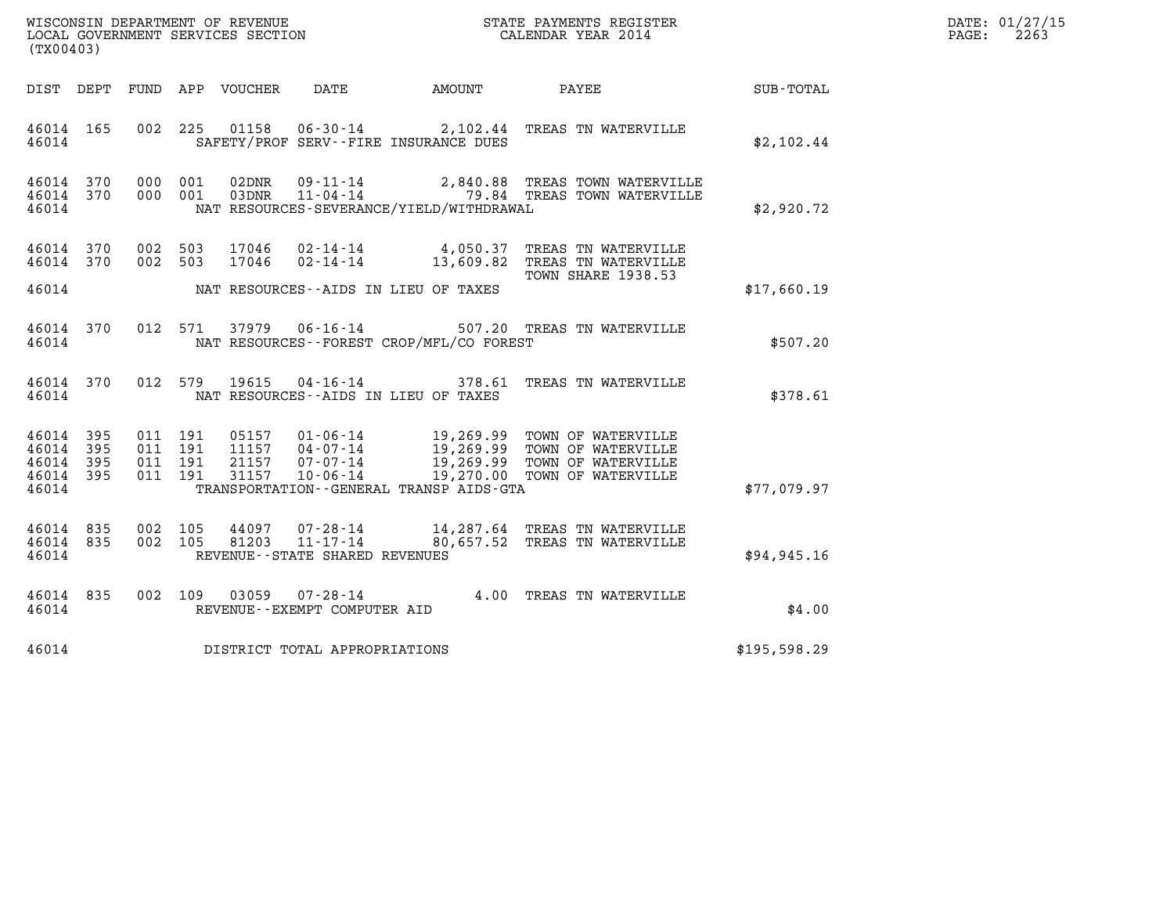| WISCONSIN DEPARTMENT OF REVENUE<br>LOCAL GOVERNMENT SERVICES SECTION | STATE PAYMENTS REGISTER<br>CALENDAR YEAR 2014 | DATE: 01/27/15<br>2263<br>PAGE: |
|----------------------------------------------------------------------|-----------------------------------------------|---------------------------------|

| (TX00403)               |                   |                   |                   |                         |                                                                       |                                                           |                                                                         |                  |  |
|-------------------------|-------------------|-------------------|-------------------|-------------------------|-----------------------------------------------------------------------|-----------------------------------------------------------|-------------------------------------------------------------------------|------------------|--|
| DIST                    | DEPT              | FUND APP          |                   | VOUCHER                 | DATE                                                                  | AMOUNT                                                    | PAYEE                                                                   | <b>SUB-TOTAL</b> |  |
| 46014<br>46014          | 165               | 002               | 225               | 01158                   | $06 - 30 - 14$                                                        | 2,102.44<br>SAFETY/PROF SERV--FIRE INSURANCE DUES         | TREAS TN WATERVILLE                                                     | \$2,102.44       |  |
| 46014<br>46014<br>46014 | 370<br>370        | 000<br>000        | 001<br>001        | 02DNR<br>03DNR          | 09-11-14<br>$11 - 04 - 14$                                            | 2,840.88<br>NAT RESOURCES-SEVERANCE/YIELD/WITHDRAWAL      | TREAS TOWN WATERVILLE<br>79.84 TREAS TOWN WATERVILLE                    | \$2,920.72       |  |
| 46014<br>46014          | 370<br>370        | 002<br>002        | 503<br>503        | 17046<br>17046          | $02 - 14 - 14$<br>$02 - 14 - 14$                                      | 4,050.37<br>13,609.82                                     | TREAS TN WATERVILLE<br>TREAS TN WATERVILLE<br><b>TOWN SHARE 1938.53</b> |                  |  |
| 46014                   |                   |                   |                   |                         |                                                                       | NAT RESOURCES--AIDS IN LIEU OF TAXES                      |                                                                         | \$17,660.19      |  |
| 46014<br>46014          | 370               | 012               | 571               | 37979                   | $06 - 16 - 14$                                                        | 507.20<br>NAT RESOURCES - - FOREST CROP/MFL/CO FOREST     | TREAS TN WATERVILLE                                                     | \$507.20         |  |
| 46014<br>46014          | 370               | 012               | 579               | 19615                   | $04 - 16 - 14$                                                        | 378.61<br>NAT RESOURCES -- AIDS IN LIEU OF TAXES          | TREAS TN WATERVILLE                                                     | \$378.61         |  |
| 46014<br>46014<br>46014 | 395<br>395<br>395 | 011<br>011<br>011 | 191<br>191<br>191 | 05157<br>11157<br>21157 | $01 - 06 - 14$<br>$04 - 07 - 14$<br>07-07-14                          | 19,269.99<br>19,269.99<br>19,269.99                       | TOWN OF WATERVILLE<br>TOWN OF WATERVILLE<br>TOWN OF WATERVILLE          |                  |  |
| 46014<br>46014          | 395               | 011               | 191               | 31157                   | $10 - 06 - 14$                                                        | 19,270.00<br>TRANSPORTATION - - GENERAL TRANSP AIDS - GTA | TOWN OF WATERVILLE                                                      | \$77,079.97      |  |
| 46014<br>46014<br>46014 | 835<br>835        | 002<br>002        | 105<br>105        | 44097<br>81203          | $07 - 28 - 14$<br>$11 - 17 - 14$<br>REVENUE - - STATE SHARED REVENUES | 80,657.52                                                 | 14,287.64 TREAS TN WATERVILLE<br>TREAS TN WATERVILLE                    | \$94, 945.16     |  |
| 46014<br>46014          | 835               | 002               | 109               | 03059                   | $07 - 28 - 14$<br>REVENUE--EXEMPT COMPUTER AID                        | 4.00                                                      | TREAS TN WATERVILLE                                                     | \$4.00           |  |
| 46014                   |                   |                   |                   |                         | DISTRICT TOTAL APPROPRIATIONS                                         |                                                           |                                                                         | \$195,598.29     |  |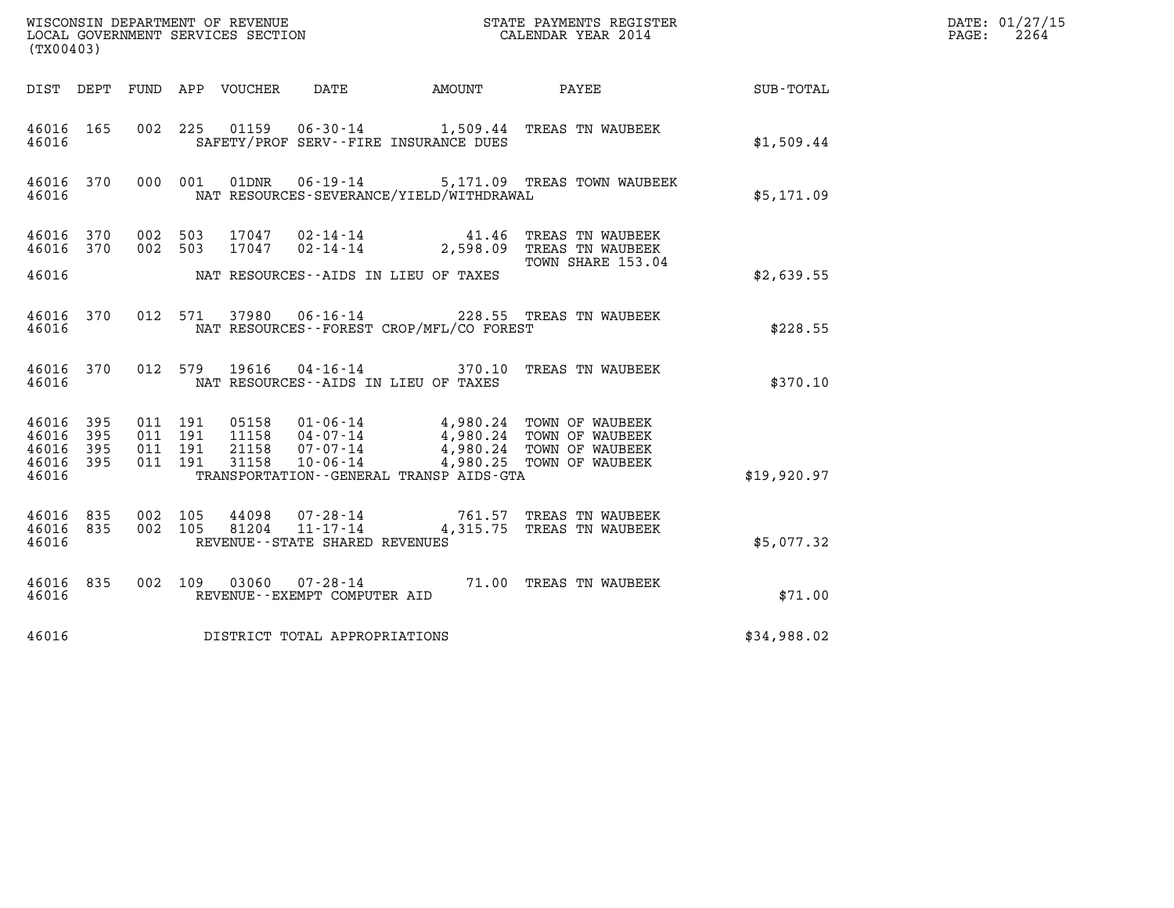| (TX00403)                       |                                                           |                    |         |                |                                                     |                                              |                                                                                                                                                                                      |                                                     | DATE: 01/27/15<br>PAGE:<br>2264 |
|---------------------------------|-----------------------------------------------------------|--------------------|---------|----------------|-----------------------------------------------------|----------------------------------------------|--------------------------------------------------------------------------------------------------------------------------------------------------------------------------------------|-----------------------------------------------------|---------------------------------|
|                                 |                                                           |                    |         |                |                                                     | DIST DEPT FUND APP VOUCHER DATE AMOUNT       | PAYEE                                                                                                                                                                                | $\begin{array}{lcl} \text{SUB - TOTAL} \end{array}$ |                                 |
| 46016                           | 46016 165                                                 |                    |         |                |                                                     | SAFETY/PROF SERV--FIRE INSURANCE DUES        | 002 225 01159 06-30-14 1,509.44 TREAS TN WAUBEEK                                                                                                                                     | \$1,509.44                                          |                                 |
| 46016                           | 46016 370                                                 |                    | 000 001 |                |                                                     | NAT RESOURCES-SEVERANCE/YIELD/WITHDRAWAL     | 01DNR  06-19-14  5,171.09 TREAS TOWN WAUBEEK                                                                                                                                         | \$5,171.09                                          |                                 |
| 46016 370<br>46016 370          |                                                           | 002 503<br>002 503 |         | 17047<br>17047 |                                                     |                                              | 02-14-14 41.46 TREAS TN WAUBEEK<br>02-14-14 02,598.09 TREAS TN WAUBEEK                                                                                                               |                                                     |                                 |
| 46016                           | TOWN SHARE 153.04<br>NAT RESOURCES--AIDS IN LIEU OF TAXES |                    |         |                |                                                     |                                              |                                                                                                                                                                                      | \$2,639.55                                          |                                 |
| 46016                           | 46016 370                                                 |                    |         |                |                                                     | NAT RESOURCES - - FOREST CROP/MFL/CO FOREST  | 012 571 37980 06-16-14 228.55 TREAS TN WAUBEEK                                                                                                                                       | \$228.55                                            |                                 |
| 46016                           | 46016 370                                                 |                    |         | 012 579 19616  |                                                     | NAT RESOURCES--AIDS IN LIEU OF TAXES         | 04-16-14 370.10 TREAS TN WAUBEEK                                                                                                                                                     | \$370.10                                            |                                 |
| 46016 395<br>46016 395          |                                                           | 011 191<br>011 191 |         |                |                                                     |                                              |                                                                                                                                                                                      |                                                     |                                 |
| 46016<br>46016 395              | 395                                                       | 011 191<br>011 191 |         |                |                                                     |                                              | 05158  01-06-14  4,980.24  TOWN OF WAUBEEK<br>11158  04-07-14  4,980.24  TOWN OF WAUBEEK<br>21158  07-07-14  4,980.24  TOWN OF WAUBEEK<br>31158  10-06-14  4,980.25  TOWN OF WAUBEEK |                                                     |                                 |
| 46016                           |                                                           |                    |         |                |                                                     | TRANSPORTATION - - GENERAL TRANSP AIDS - GTA |                                                                                                                                                                                      | \$19,920.97                                         |                                 |
| 46016 835<br>46016 835<br>46016 |                                                           | 002 105<br>002 105 |         | 44098<br>81204 | $11 - 17 - 14$<br>REVENUE - - STATE SHARED REVENUES |                                              | 07-28-14 761.57 TREAS TN WAUBEEK<br>4,315.75 TREAS TN WAUBEEK                                                                                                                        | \$5,077.32                                          |                                 |
| 46016 835<br>46016              |                                                           |                    |         |                | REVENUE--EXEMPT COMPUTER AID                        |                                              | 002 109 03060 07-28-14 71.00 TREAS TN WAUBEEK                                                                                                                                        | \$71.00                                             |                                 |
| 46016                           |                                                           |                    |         |                | DISTRICT TOTAL APPROPRIATIONS                       |                                              |                                                                                                                                                                                      | \$34,988.02                                         |                                 |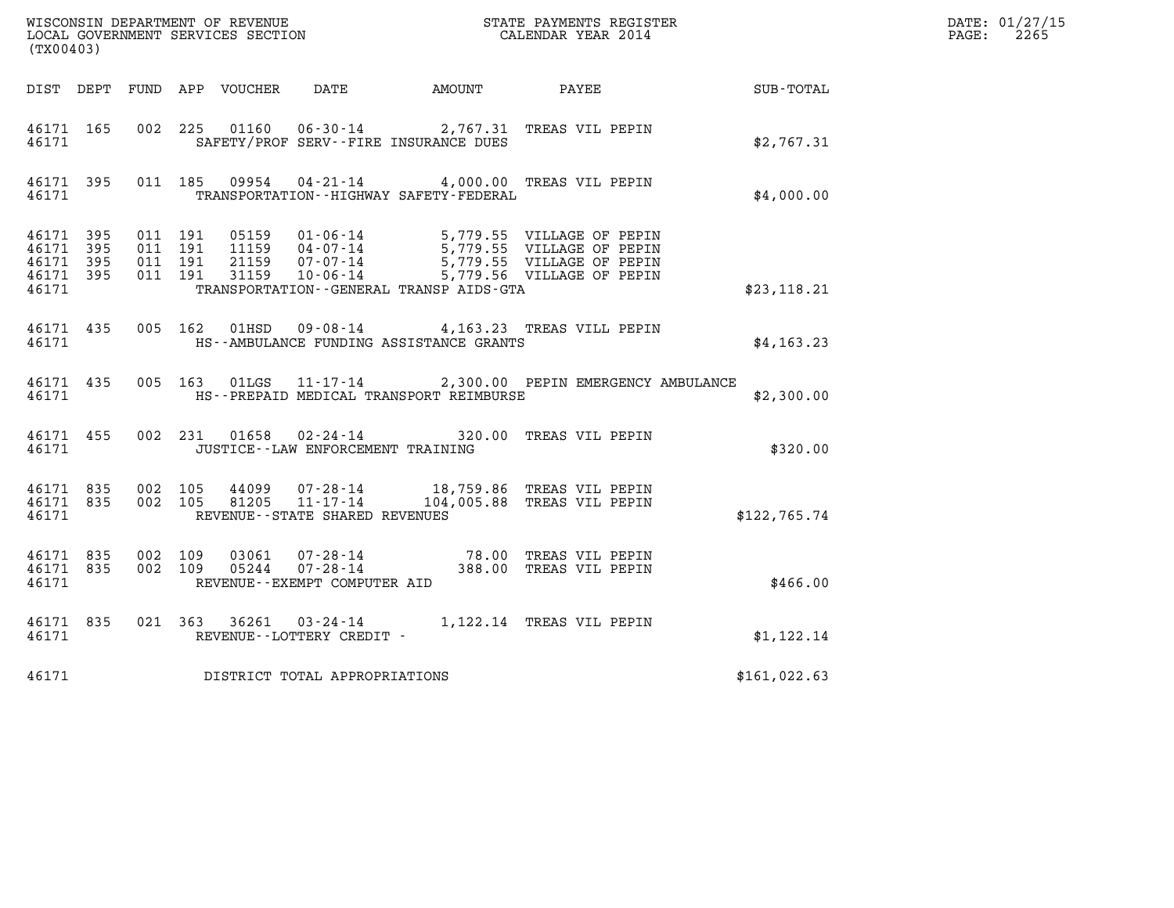| WISCONSIN DEPARTMENT OF REVENUE<br>LOCAL GOVERNMENT SERVICES SECTION<br>CALENDAR YEAR 2014<br>(TX00403) |  |       |  |  |                                          |                                               |                                                                                                                                                                                                                                                                                                                                                 |                                                        | DATE: 01/27/15<br>PAGE: 2265 |
|---------------------------------------------------------------------------------------------------------|--|-------|--|--|------------------------------------------|-----------------------------------------------|-------------------------------------------------------------------------------------------------------------------------------------------------------------------------------------------------------------------------------------------------------------------------------------------------------------------------------------------------|--------------------------------------------------------|------------------------------|
|                                                                                                         |  |       |  |  |                                          |                                               |                                                                                                                                                                                                                                                                                                                                                 | DIST DEPT FUND APP VOUCHER DATE AMOUNT PAYEE SUB-TOTAL |                              |
| 46171 165                                                                                               |  |       |  |  |                                          | 46171 SAFETY/PROF SERV--FIRE INSURANCE DUES   | 002 225 01160 06-30-14 2,767.31 TREAS VIL PEPIN                                                                                                                                                                                                                                                                                                 | \$2,767.31                                             |                              |
|                                                                                                         |  | 46171 |  |  |                                          | TRANSPORTATION - - HIGHWAY SAFETY - FEDERAL   | 46171 395 011 185 09954 04-21-14 4,000.00 TREAS VIL PEPIN                                                                                                                                                                                                                                                                                       | \$4,000.00                                             |                              |
| 46171                                                                                                   |  |       |  |  |                                          | TRANSPORTATION--GENERAL TRANSP AIDS-GTA       |                                                                                                                                                                                                                                                                                                                                                 | \$23,118.21                                            |                              |
|                                                                                                         |  |       |  |  |                                          | 46171 HS--AMBULANCE FUNDING ASSISTANCE GRANTS | 46171 435 005 162 01HSD 09-08-14 4,163.23 TREAS VILL PEPIN                                                                                                                                                                                                                                                                                      | \$4,163,23                                             |                              |
|                                                                                                         |  |       |  |  |                                          | 46171 HS--PREPAID MEDICAL TRANSPORT REIMBURSE | 46171 435 005 163 01LGS 11-17-14 2,300.00 PEPIN EMERGENCY AMBULANCE                                                                                                                                                                                                                                                                             | \$2,300.00                                             |                              |
|                                                                                                         |  |       |  |  | 46171 JUSTICE - LAW ENFORCEMENT TRAINING |                                               | 46171 455 002 231 01658 02-24-14 320.00 TREAS VIL PEPIN                                                                                                                                                                                                                                                                                         | \$320.00                                               |                              |
| 46171                                                                                                   |  |       |  |  | REVENUE--STATE SHARED REVENUES           |                                               | 46171 835 002 105 44099 07-28-14 18,759.86 TREAS VIL PEPIN<br>46171 835 002 105 81205 11-17-14 104,005.88 TREAS VIL PEPIN                                                                                                                                                                                                                       | \$122,765.74                                           |                              |
| 46171                                                                                                   |  |       |  |  | REVENUE--EXEMPT COMPUTER AID             |                                               | $\begin{array}{cccc} 4\,6\,171 & 83\,5 & 002 & 109 & 030\,61 & 07\, \texttt{-}28\, \texttt{-}14 & & & & & 78\, \texttt{-}00 & \texttt{TREAS}\ \texttt{VIL}\ \texttt{PEPIN} \\ 4\,6\,171 & 83\,5 & 002 & 109 & 052\,44 & 07\, \texttt{-}28\, \texttt{-}14 & & & & 388\, \texttt{-}00 & \texttt{TREAS}\ \texttt{VIL}\ \texttt{PEPIN} \end{array}$ | \$466.00                                               |                              |
| 46171                                                                                                   |  |       |  |  | REVENUE--LOTTERY CREDIT -                |                                               | 46171 835 021 363 36261 03-24-14 1,122.14 TREAS VIL PEPIN                                                                                                                                                                                                                                                                                       | \$1,122.14                                             |                              |
| 46171                                                                                                   |  |       |  |  | DISTRICT TOTAL APPROPRIATIONS            |                                               |                                                                                                                                                                                                                                                                                                                                                 | \$161,022.63                                           |                              |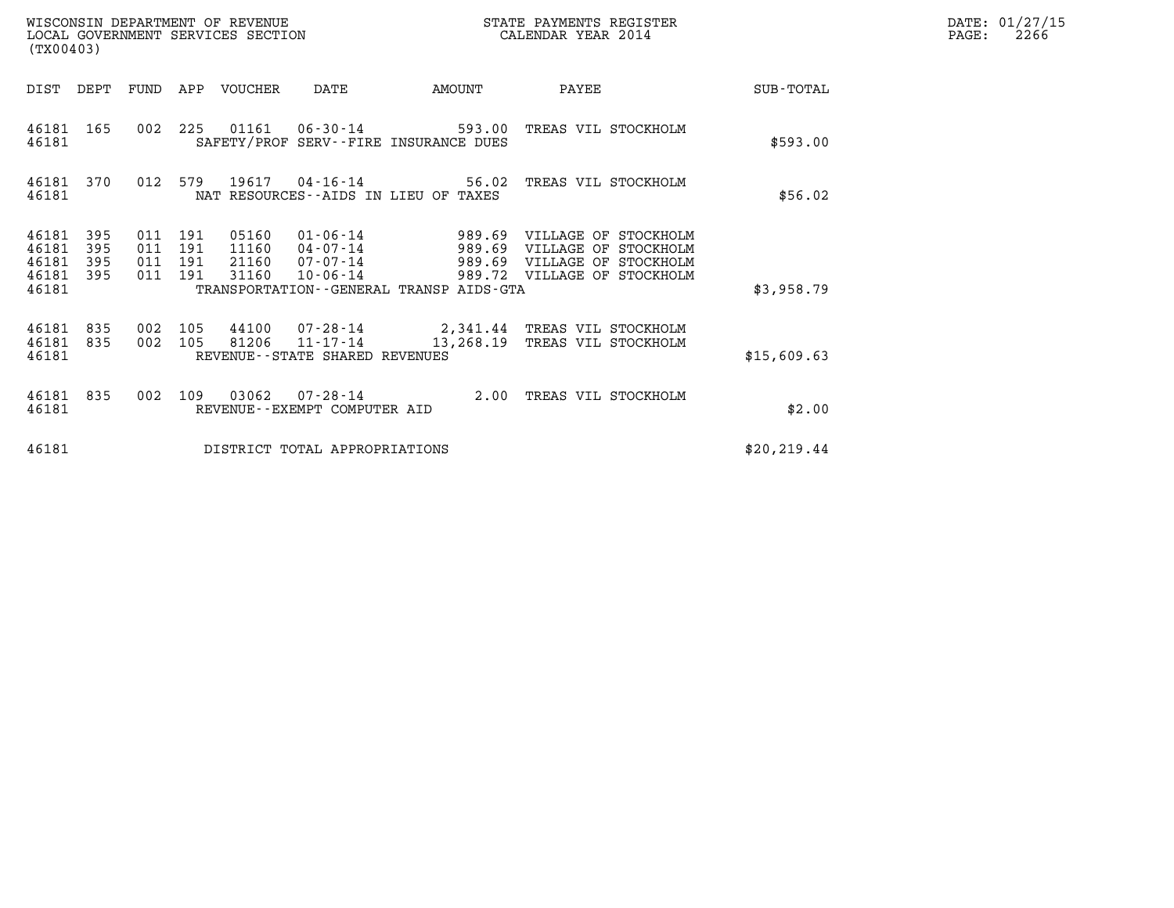| WISCONSIN DEPARTMENT OF REVENUE<br>LOCAL GOVERNMENT SERVICES SECTION<br>(TX00403)                                                                                                                                     |               | STATE PAYMENTS REGISTER<br>CALENDAR YEAR 2014                                                                                                       |              | DATE: 01/27/15<br>$\mathtt{PAGE:}$<br>2266 |
|-----------------------------------------------------------------------------------------------------------------------------------------------------------------------------------------------------------------------|---------------|-----------------------------------------------------------------------------------------------------------------------------------------------------|--------------|--------------------------------------------|
| DIST DEPT FUND APP VOUCHER DATE                                                                                                                                                                                       | <b>AMOUNT</b> | PAYEE                                                                                                                                               | SUB-TOTAL    |                                            |
| 002 225 01161 06-30-14 593.00 TREAS VIL STOCKHOLM<br>46181 165<br>SAFETY/PROF SERV--FIRE INSURANCE DUES<br>46181                                                                                                      |               |                                                                                                                                                     | \$593.00     |                                            |
| 012 579 19617 04-16-14 56.02 TREAS VIL STOCKHOLM<br>46181 370<br>46181<br>NAT RESOURCES--AIDS IN LIEU OF TAXES                                                                                                        |               |                                                                                                                                                     | \$56.02      |                                            |
| 46181<br>395<br>011 191<br>05160<br>011<br>46181<br>395<br>191<br>11160<br>011<br>21160<br>46181<br>395<br>191<br>$10 - 06 - 14$<br>011 191<br>31160<br>46181 395<br>46181<br>TRANSPORTATION--GENERAL TRANSP AIDS-GTA |               | 01-06-14 989.69 VILLAGE OF STOCKHOLM<br>04-07-14 989.69 VILLAGE OF STOCKHOLM<br>07-07-14 989.69 VILLAGE OF STOCKHOLM<br>989.72 VILLAGE OF STOCKHOLM | \$3,958.79   |                                            |
| 44100  07-28-14  2,341.44 TREAS VIL STOCKHOLM<br>46181 835<br>002 105<br>002 105 81206 11-17-14 13,268.19 TREAS VIL STOCKHOLM<br>46181 835<br>46181<br>REVENUE--STATE SHARED REVENUES                                 |               |                                                                                                                                                     | \$15,609.63  |                                            |
| 002 109 03062<br>46181 835<br>46181<br>REVENUE--EXEMPT COMPUTER AID                                                                                                                                                   |               |                                                                                                                                                     | \$2.00       |                                            |
| 46181<br>DISTRICT TOTAL APPROPRIATIONS                                                                                                                                                                                |               |                                                                                                                                                     | \$20, 219.44 |                                            |